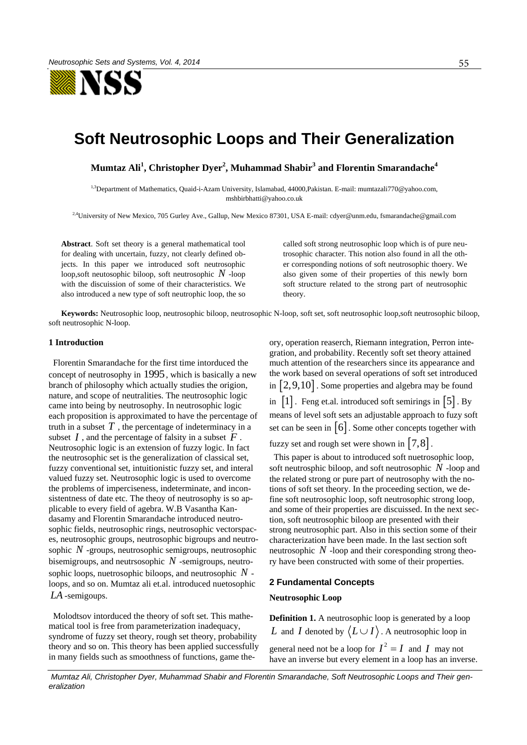

# **Soft Neutrosophic Loops and Their Generalization**

**Mumtaz Ali<sup>1</sup> , Christopher Dyer<sup>2</sup> , Muhammad Shabir<sup>3</sup> and Florentin Smarandache<sup>4</sup>**

1,3Department of Mathematics, Quaid-i-Azam University, Islamabad, 44000,Pakistan. E-mail: mumtazali770@yahoo.com, mshbirbhatti@yahoo.co.uk

<sup>2,4</sup>University of New Mexico, 705 Gurley Ave., Gallup, New Mexico 87301, USA E-mail: [cdyer@unm.edu,](mailto:cdyer@unm.edu) fsmarandache@gmail.com

**Abstract**. Soft set theory is a general mathematical tool for dealing with uncertain, fuzzy, not clearly defined objects. In this paper we introduced soft neutrosophic loop,soft neutosophic biloop, soft neutrosophic *N* -loop with the discuission of some of their characteristics. We also introduced a new type of soft neutrophic loop, the so called soft strong neutrosophic loop which is of pure neutrosophic character. This notion also found in all the other corresponding notions of soft neutrosophic thoery. We also given some of their properties of this newly born soft structure related to the strong part of neutrosophic theory.

**Keywords:** Neutrosophic loop, neutrosophic biloop, neutrosophic N-loop, soft set, soft neutrosophic loop,soft neutrosophic biloop, soft neutrosophic N-loop.

# **1 Introduction**

 Florentin Smarandache for the first time intorduced the concept of neutrosophy in 1995 , which is basically a new branch of philosophy which actually studies the origion, nature, and scope of neutralities. The neutrosophic logic came into being by neutrosophy. In neutrosophic logic each proposition is approximated to have the percentage of truth in a subset  $T$ , the percentage of indeterminacy in a subset  $I$ , and the percentage of falsity in a subset  $\overline{F}$ . Neutrosophic logic is an extension of fuzzy logic. In fact the neutrosophic set is the generalization of classical set, fuzzy conventional set, intuitionistic fuzzy set, and interal valued fuzzy set. Neutrosophic logic is used to overcome the problems of imperciseness, indeterminate, and inconsistentness of date etc. The theoy of neutrosophy is so applicable to every field of agebra. W.B Vasantha Kandasamy and Florentin Smarandache introduced neutrosophic fields, neutrosophic rings, neutrosophic vectorspaces, neutrosophic groups, neutrosophic bigroups and neutrosophic *N* -groups, neutrosophic semigroups, neutrosophic bisemigroups, and neutrsosophic *N* -semigroups, neutrosophic loops, nuetrosophic biloops, and neutrosophic *N* loops, and so on. Mumtaz ali et.al. introduced nuetosophic *LA* -semigoups.

 Molodtsov intorduced the theory of soft set. This mathematical tool is free from parameterization inadequacy, syndrome of fuzzy set theory, rough set theory, probability theory and so on. This theory has been applied successfully in many fields such as smoothness of functions, game theory, operation reaserch, Riemann integration, Perron integration, and probability. Recently soft set theory attained much attention of the researchers since its appearance and the work based on several operations of soft set introduced in  $\left[2, 9, 10\right]$ . Some properties and algebra may be found in  $\begin{bmatrix} 1 \end{bmatrix}$ . Feng et.al. introduced soft semirings in  $\begin{bmatrix} 5 \end{bmatrix}$ . By means of level soft sets an adjustable approach to fuzy soft set can be seen in  $\lceil 6 \rceil$ . Some other concepts together with fuzzy set and rough set were shown in  $\begin{bmatrix} 7,8 \end{bmatrix}$ .

 This paper is about to introduced soft nuetrosophic loop, soft neutrosphic biloop, and soft neutrosophic *N* -loop and the related strong or pure part of neutrosophy with the notions of soft set theory. In the proceeding section, we define soft neutrosophic loop, soft neutrosophic strong loop, and some of their properties are discuissed. In the next section, soft neutrosophic biloop are presented with their strong neutrosophic part. Also in this section some of their characterization have been made. In the last section soft neutrosophic *N* -loop and their coresponding strong theory have been constructed with some of their properties.

#### **2 Fundamental Concepts**

#### **Neutrosophic Loop**

**Definition 1.** A neutrosophic loop is generated by a loop *L* and *I* denoted by  $\langle L \cup I \rangle$ . A neutrosophic loop in general need not be a loop for  $I^2 = I$  and I may not have an inverse but every element in a loop has an inverse.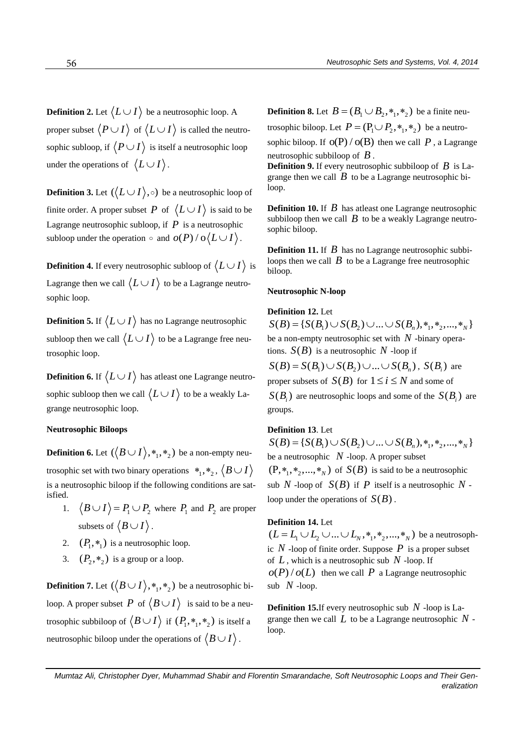**Definition 2.** Let  $\langle L \cup I \rangle$  be a neutrosophic loop. A proper subset  $\langle P \cup I \rangle$  of  $\langle L \cup I \rangle$  is called the neutrosophic subloop, if  $\langle P \cup I \rangle$  is itself a neutrosophic loop under the operations of  $\langle L \cup I \rangle$ .

**Definition 3.** Let  $(\langle L \cup I \rangle, \circ)$  be a neutrosophic loop of finite order. A proper subset P of  $\langle L \cup I \rangle$  is said to be Lagrange neutrosophic subloop, if  $P$  is a neutrosophic subloop under the operation  $\circ$  and  $o(P)/o\langle L \cup I \rangle$ .

**Definition 4.** If every neutrosophic subloop of  $\langle L \cup I \rangle$  is Lagrange then we call  $\langle L \cup I \rangle$  to be a Lagrange neutrosophic loop.

**Definition 5.** If  $\langle L \cup I \rangle$  has no Lagrange neutrosophic subloop then we call  $\langle L \cup I \rangle$  to be a Lagrange free neutrosophic loop.

**Definition 6.** If  $\langle L \cup I \rangle$  has atleast one Lagrange neutrosophic subloop then we call  $\langle L \cup I \rangle$  to be a weakly Lagrange neutrosophic loop.

## **Neutrosophic Biloops**

**Definition 6.** Let  $(\bigl\langle B \cup I \bigr\rangle, *_1, *_2)$  be a non-empty neutrosophic set with two binary operations  $*_1,*_2$ ,  $\big\langle B\cup I\big\rangle$ is a neutrosophic biloop if the following conditions are satisfied.

- 1.  $B \cup I$   $= P_1 \cup P_2$  where  $P_1$  and  $P_2$  are proper subsets of  $\langle B \cup I \rangle$ .
- 2.  $(P_1, *_{1})$  is a neutrosophic loop.
- 3.  $(P_2, *_{2})$  is a group or a loop.

**Definition 7.** Let  $(\langle B \cup I \rangle, *_1, *_2)$  be a neutrosophic biloop. A proper subset  $P$  of  $\langle B \cup I \rangle$  is said to be a neutrosophic subbiloop of  $\langle B \cup I \rangle$  if  $(P_1, *, *,_2)$  is itself a neutrosophic biloop under the operations of  $\langle B \cup I \rangle$ .

**Definition 8.** Let  $B = (B_1 \cup B_2, \ast_1, \ast_2)$  be a finite neu-

trosophic biloop. Let  $P = (P_1 \cup P_2, *, *, *_2)$  be a neutrosophic biloop. If  $O(P)/O(B)$  then we call P, a Lagrange neutrosophic subbiloop of *B* .

**Definition 9.** If every neutrosophic subbiloop of *B* is Lagrange then we call  $\hat{B}$  to be a Lagrange neutrosophic biloop.

**Definition 10.** If *B* has atleast one Lagrange neutrosophic subbiloop then we call  $B$  to be a weakly Lagrange neutrosophic biloop.

Definition 11. If B has no Lagrange neutrosophic subbiloops then we call  $B$  to be a Lagrange free neutrosophic biloop.

## **Neutrosophic N-loop**

# **Definition 12.** Let

 $S(B) = \{ S(B_1) \cup S(B_2) \cup ... \cup S(B_n), *, *, *, ..., *, \}$ be a non-empty neutrosophic set with *N* -binary operations.  $S(B)$  is a neutrosophic N -loop if ions.  $S(B)$  is a neutrosophic N -loop if<br>  $S(B) = S(B_1) \cup S(B_2) \cup ... \cup S(B_n)$ ,  $S(B_i)$  are proper subsets of  $S(B)$  for  $1 \le i \le N$  and some of

 $S(B_i)$  are neutrosophic loops and some of the  $S(B_i)$  are groups.

# **Definition 13**. Let

 $S(B) = \{ S(B_1) \cup S(B_2) \cup ... \cup S(B_n), *, *, *, ..., *, \}$ be a neutrosophic  $N$  -loop. A proper subset  $(P, *_{1}, *_{2}, \ldots, *_{N})$  of  $S(B)$  is said to be a neutrosophic sub N -loop of  $S(B)$  if P itself is a neutrosophic N loop under the operations of  $S(B)$ .

# **Definition 14.** Let

**Definition 14.** Let  $(L = L_1 \cup L_2 \cup ... \cup L_N, *, *, *,_2, ..., *,_N)$  be a neutrosophic  $N$ -loop of finite order. Suppose  $P$  is a proper subset of  $L$ , which is a neutrosophic sub  $N$  -loop. If  $o(P)/o(L)$  then we call P a Lagrange neutrosophic sub  $N$ -loop.

**Definition 15.**If every neutrosophic sub *N* -loop is Lagrange then we call  $L$  to be a Lagrange neutrosophic  $N$  loop.

*Mumtaz Ali, Christopher Dyer, Muhammad Shabir and Florentin Smarandache, Soft Neutrosophic Loops and Their Generalization*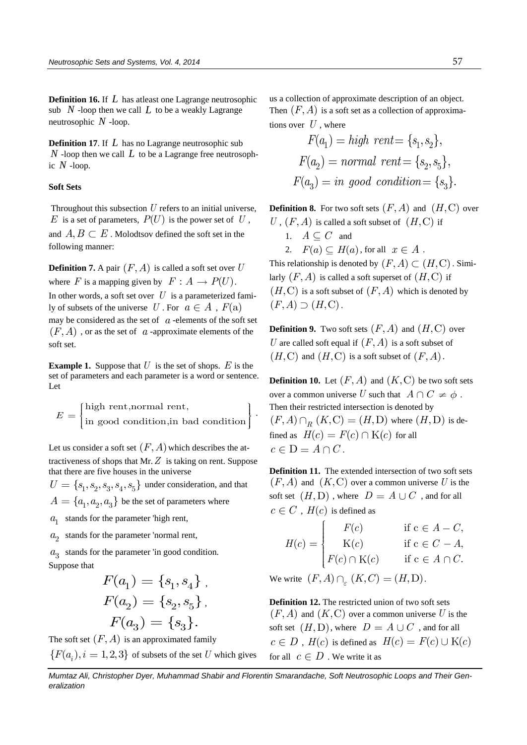**Definition 16.** If *L* has atleast one Lagrange neutrosophic sub  $N$  -loop then we call  $L$  to be a weakly Lagrange neutrosophic *N* -loop.

**Definition 17**. If *L* has no Lagrange neutrosophic sub  $N$  -loop then we call  $L$  to be a Lagrange free neutrosophic *N* -loop.

## **Soft Sets**

Throughout this subsection  $U$  refers to an initial universe,  $E$  is a set of parameters,  $P(U)$  is the power set of  $U$ , and  $A, B \subset E$ . Molodtsov defined the soft set in the following manner:

**Definition 7.** A pair  $(F, A)$  is called a soft set over  $U$ where  $F$  is a mapping given by  $F: A \rightarrow P(U)$ . In other words, a soft set over  $U$  is a parameterized family of subsets of the universe  $U$ . For  $a \in A$ ,  $F(a)$ may be considered as the set of  $a$ -elements of the soft set  $(F, A)$ , or as the set of  $a$ -approximate elements of the soft set.

**Example 1.** Suppose that  $U$  is the set of shops.  $E$  is the set of parameters and each parameter is a word or sentence. Let

$$
E = \begin{cases} \text{high rent,normal rent,} \\ \text{in good condition, in bad condition} \end{cases}.
$$

Let us consider a soft set  $(F, A)$  which describes the attractiveness of shops that Mr. *Z* is taking on rent. Suppose that there are five houses in the universe

 $U = \{s_1, s_2, s_3, s_4, s_5\}$  under consideration, and that  $A = \{a_1, a_2, a_3\}$  be the set of parameters where

 $a_1$  stands for the parameter 'high rent,

 $a_2$  stands for the parameter 'normal rent,

3 *a* stands for the parameter 'in good condition. Suppose that

$$
F(a_1) = \{s_1, s_4\} ,
$$
  

$$
F(a_2) = \{s_2, s_5\} ,
$$
  

$$
F(a_3) = \{s_3\} .
$$

The soft set  $(F, A)$  is an approximated family  ${F(a_i), i = 1,2,3}$  of subsets of the set U which gives us a collection of approximate description of an object. Then  $(F, A)$  is a soft set as a collection of approximations over  $U$ , where

$$
F(a_1) = high \; rent = \{s_1, s_2\},
$$
  

$$
F(a_2) = normal \; rent = \{s_2, s_5\},
$$
  

$$
F(a_3) = in \; good \; condition = \{s_3\}.
$$

**Definition 8.** For two soft sets  $(F, A)$  and  $(H, C)$  over  $U$ ,  $(F, A)$  is called a soft subset of  $(H, C)$  if

- 1.  $A \subseteq C$  and
- 2.  $F(a) \subseteq H(a)$ , for all  $x \in A$ .

This relationship is denoted by  $(F, A) \subset (H, C)$ . Similarly  $(F, A)$  is called a soft superset of  $(H, C)$  if  $(H, C)$  is a soft subset of  $(F, A)$  which is denoted by  $(F, A) \supset (H, C)$ .

**Definition 9.** Two soft sets  $(F, A)$  and  $(H, C)$  over U are called soft equal if  $(F, A)$  is a soft subset of  $(H, C)$  and  $(H, C)$  is a soft subset of  $(F, A)$ .

**Definition 10.** Let  $(F, A)$  and  $(K, C)$  be two soft sets over a common universe U such that  $A \cap C \neq \phi$ . Then their restricted intersection is denoted by Then their restricted intersection is denoted by<br>  $(F, A) \cap_R (K, C) = (H, D)$  where  $(H, D)$  is defined as  $H(c) = F(c) \cap K(c)$  for all  $c \in D = A \cap C$ .

**Definition 11.** The extended intersection of two soft sets  $(F, A)$  and  $(K, C)$  over a common universe U is the soft set  $(H, D)$  , where  $D = A \cup C$  , and for all  $c \in C$ ,  $H(c)$  is defined as

$$
\in C, H(c) \text{ is defined as}
$$
  
\n
$$
H(c) = \begin{cases} F(c) & \text{if } c \in A - C, \\ K(c) & \text{if } c \in C - A, \\ F(c) \cap K(c) & \text{if } c \in A \cap C. \end{cases}
$$

We write  $(F, A) \cap_{\varepsilon} (K, C) = (H, D)$ .

**Definition 12.** The restricted union of two soft sets  $(F, A)$  and  $(K, C)$  over a common universe U is the soft set  $(H, D)$ , where  $D = A \cup C$ , and for all  $c \in D$ ,  $H(c)$  is defined as  $H(c) = F(c) \cup K(c)$ for all  $c \in D$ . We write it as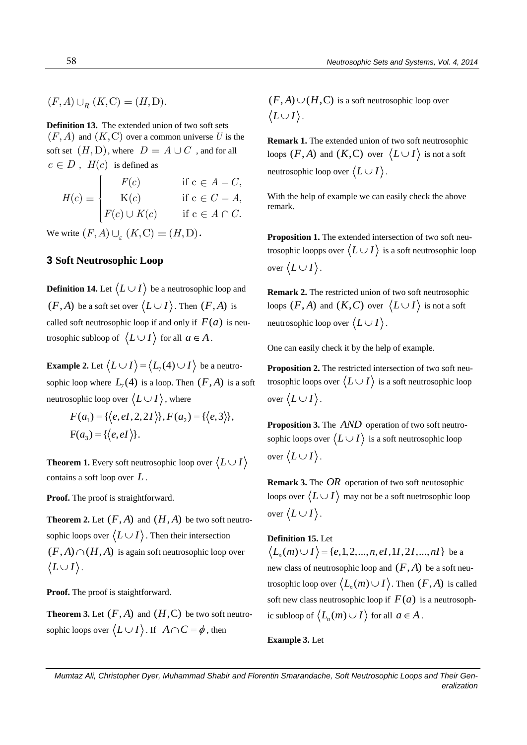$(F, A) \cup_{R} (K, C) = (H, D).$ 

**Definition 13.** The extended union of two soft sets  $(F, A)$  and  $(K, C)$  over a common universe U is the soft set  $(H, D)$ , where  $D = A \cup C$  , and for all  $c \in D$ ,  $H(c)$  is defined as

$$
\begin{aligned}\n\in D, \ H(c) &\text{ is defined as} \\
H(c) &\text{if } c \in A - C, \\
K(c) &\text{if } c \in C - A, \\
F(c) \cup K(c) &\text{if } c \in A \cap C.\n\end{aligned}
$$

We write  $(F, A) \cup_{\varepsilon} (K, C) = (H, D)$ .

# **3 Soft Neutrosophic Loop**

**Definition 14.** Let  $\langle L \cup I \rangle$  be a neutrosophic loop and  $(F, A)$  be a soft set over  $\langle L \cup I \rangle$ . Then  $(F, A)$  is called soft neutrosophic loop if and only if  $F(a)$  is neutrosophic subloop of  $\langle L \cup I \rangle$  for all  $a \in A$ .

**Example 2.** Let  $\langle L \cup I \rangle = \langle L_7(4) \cup I \rangle$  be a neutrosophic loop where  $L_7(4)$  is a loop. Then  $(F, A)$  is a soft

neutrosophic loop over 
$$
\langle L \cup I \rangle
$$
, where  
\n
$$
F(a_1) = \{ \langle e, eI, 2, 2I \rangle \}, F(a_2) = \{ \langle e, 3 \rangle \},
$$
\n
$$
F(a_3) = \{ \langle e, eI \rangle \}.
$$

**Theorem 1.** Every soft neutrosophic loop over  $\langle L \cup I \rangle$ contains a soft loop over *L* .

**Proof.** The proof is straightforward.

**Theorem 2.** Let  $(F, A)$  and  $(H, A)$  be two soft neutrosophic loops over  $\langle L \cup I \rangle$ . Then their intersection  $(F, A) \cap (H, A)$  is again soft neutrosophic loop over  $\langle L \cup I \rangle$ .

**Proof.** The proof is staightforward.

**Theorem 3.** Let  $(F, A)$  and  $(H, C)$  be two soft neutrosophic loops over  $\langle L \cup I \rangle$ . If  $A \cap C = \phi$ , then

 $(F, A) \cup (H, C)$  is a soft neutrosophic loop over  $\langle L \cup I \rangle$ .

**Remark 1.** The extended union of two soft neutrosophic loops  $(F, A)$  and  $(K, C)$  over  $(L \cup I)$  is not a soft neutrosophic loop over  $\langle L \cup I \rangle$ .

With the help of example we can easily check the above remark.

**Proposition 1.** The extended intersection of two soft neutrosophic loopps over  $\langle L \cup I \rangle$  is a soft neutrosophic loop over  $\langle L \cup I \rangle$ .

**Remark 2.** The restricted union of two soft neutrosophic loops  $(F, A)$  and  $(K, C)$  over  $(L \cup I)$  is not a soft neutrosophic loop over  $\langle L \cup I \rangle$ .

One can easily check it by the help of example.

**Proposition 2.** The restricted intersection of two soft neutrosophic loops over  $\langle L \cup I \rangle$  is a soft neutrosophic loop over  $\langle L \cup I \rangle$ .

Proposition 3. The *AND* operation of two soft neutrosophic loops over  $\langle L \cup I \rangle$  is a soft neutrosophic loop over  $\langle L \cup I \rangle$ .

**Remark 3.** The OR operation of two soft neutosophic loops over  $\langle L \cup I \rangle$  may not be a soft nuetrosophic loop over  $\langle L \cup I \rangle$ .

# **Definition 15.** Let

**efinition 15.** Let  $L_n(m) \cup I$   $\rangle = \{e, 1, 2, ..., n, eI, 1I, 2I, ..., nI\}$  be a new class of neutrosophic loop and  $(F, A)$  be a soft neutrosophic loop over  $\langle L_n(m) \cup I \rangle$ . Then  $(F, A)$  is called soft new class neutrosophic loop if  $F(a)$  is a neutrosophic subloop of  $\langle L_n(m) \cup I \rangle$  for all  $a \in A$ .

**Example 3.** Let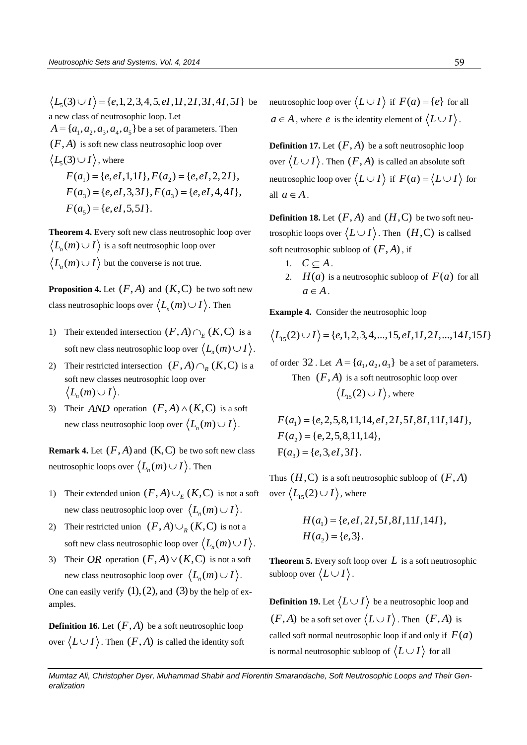$L_5(3) \cup I$ } = {e,1,2,3,4,5,eI,1I,2I,3I,4I,5I} be a new class of neutrosophic loop. Let  $A = \{a_1, a_2, a_3, a_4, a_5\}$  be a set of parameters. Then  $(F, A)$  is soft new class neutrosophic loop over  $L_5(3) \cup I$ , where  $\langle 3 \rangle \cup I$ , where<br>  $F(a_1) = \{e, eI, 1, 1I\}, F(a_2) = \{e, eI, 2, 2I\},\$  $F(a_1) = \{e, eI, 1, 1I\}, F(a_2) = \{e, eI, 2, 2I\},$ <br>  $F(a_3) = \{e, eI, 3, 3I\}, F(a_3) = \{e, eI, 4, 4I\},$  $F(a_3) = \{e, eI, 3, 3I\},\ F(a_5) = \{e, eI, 5, 5I\}.$ 

**Theorem 4.** Every soft new class neutrosophic loop over  $L_n(m) \cup I \bigr\rangle$  is a soft neutrosophic loop over  $L_n(m) \cup I$  but the converse is not true.

**Proposition 4.** Let  $(F, A)$  and  $(K, C)$  be two soft new class neutrosophic loops over  $\left\langle L_n(m) \cup I \right\rangle$ . Then

- 1) Their extended intersection  $(F, A) \cap_E (K, C)$  is a soft new class neutrosophic loop over  $\langle L_n(m) \cup I \rangle$ .
- 2) Their restricted intersection  $(F, A) \cap_R (K, C)$  is a soft new classes neutrosophic loop over  $L_n(m) \cup I$ .
- 3) Their *AND* operation  $(F, A) \wedge (K, C)$  is a soft new class neutrosophic loop over  $\big\langle L_n(m) \cup I \big\rangle$ .

**Remark 4.** Let  $(F, A)$  and  $(K, C)$  be two soft new class neutrosophic loops over  $\left\langle L_n(m) \cup I \right\rangle$ . Then

- 1) Their extended union  $(F, A) \cup_E (K, C)$  is not a soft new class neutrosophic loop over  $\langle L_n(m) \cup I \rangle$ .
- 2) Their restricted union  $(F, A) \cup_R (K, C)$  is not a soft new class neutrosophic loop over  $\left\langle L_n(m) \cup I \right\rangle$ .
- 3) Their OR operation  $(F, A) \vee (K, C)$  is not a soft new class neutrosophic loop over  $\langle L_n(m) \cup I \rangle$ .

One can easily verify  $(1)$ ,  $(2)$ , and  $(3)$  by the help of examples.

**Definition 16.** Let  $(F, A)$  be a soft neutrosophic loop over  $\langle L \cup I \rangle$ . Then  $(F, A)$  is called the identity soft neutrosophic loop over  $\langle L \cup I \rangle$  if  $F(a) = \{e\}$  for all  $a \in A$ , where *e* is the identity element of  $\langle L \cup I \rangle$ .

**Definition 17.** Let  $(F, A)$  be a soft neutrosophic loop over  $\langle L \cup I \rangle$ . Then  $(F, A)$  is called an absolute soft neutrosophic loop over  $\langle L \cup I \rangle$  if  $F(a) = \langle L \cup I \rangle$  for all  $a \in A$ .

**Definition 18.** Let  $(F, A)$  and  $(H, C)$  be two soft neutrosophic loops over  $\langle L \cup I \rangle$ . Then  $(H, C)$  is callsed soft neutrosophic subloop of  $(F, A)$ , if

- 1.  $C \subseteq A$ .
- 2.  $H(a)$  is a neutrosophic subloop of  $F(a)$  for all  $a \in A$ .

**Example 4.** Consider the neutrosophic loop 
$$
\langle L_{15}(2) \cup I \rangle = \{e, 1, 2, 3, 4, ..., 15, eI, 1I, 2I, ..., 14I, 15I\}
$$

of order 32. Let  $A = \{a_1, a_2, a_3\}$  be a set of parameters.

Then  $(F, A)$  is a soft neutrosophic loop over  $L_{15}(2) \cup I$ , where

 $(a<sub>1</sub>) = {e, 2, 5, 8, 11, 14, eI, 2I, 5I, 8I, 11I, 14I},$ 2  $(a_2) = \{e, 2, 5, 8, 1\}$ <br>  $a_3) = \{e, 3, eI, 3I\}$  $(a_1) = \{e, 2, 5, 8, 11, 14, e$ <br> $(a_2) = \{e, 2, 5, 8, 11, 14\},\$  $F(a_2) = \{e, 2, 5, 8, 11,$ <br>  $F(a_3) = \{e, 3, eI, 3I\}.$  $F(a_1) = \{e, 2, 5, 8, 11, 14, eI, 2I, 5I, 8I, 11I, 14I\}$  $F(a_1) = F(a_2) =$ 

Thus  $(H, C)$  is a soft neutrosophic subloop of  $(F, A)$ over  $\langle L_{15}(2) \cup I \rangle$ , where

$$
H(a1) = \{e, eI, 2I, 5I, 8I, 11I, 14I\},\
$$
  

$$
H(a2) = \{e, 3\}.
$$

**Theorem 5.** Every soft loop over  $L$  is a soft neutrosophic subloop over  $\langle L \cup I \rangle$ .

**Definition 19.** Let  $\langle L \cup I \rangle$  be a neutrosophic loop and  $(F, A)$  be a soft set over  $\langle L \cup I \rangle$ . Then  $(F, A)$  is called soft normal neutrosophic loop if and only if  $F(a)$ is normal neutrosophic subloop of  $\langle L \cup I \rangle$  for all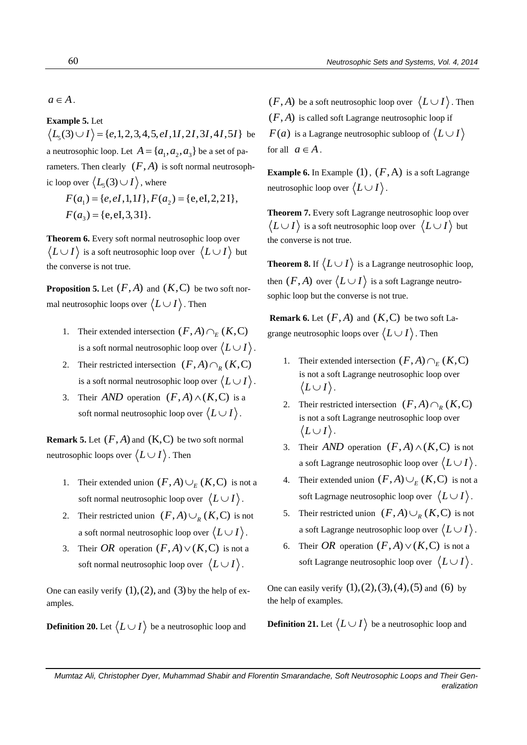$a \in A$ .

**Example 5.** Let **xample 5.** Let  $L_5(3) \cup I$   $\rangle = \{e, 1, 2, 3, 4, 5, eI, 1I, 2I, 3I, 4I, 5I\}$  be a neutrosophic loop. Let  $A = \{a_1, a_2, a_3\}$  be a set of parameters. Then clearly  $(F, A)$  is soft normal neutrosophic loop over  $\left\langle L_{5}(3) \cup I \right\rangle$ , where p over  $\langle L_5(3) \cup I \rangle$ , where<br>  $F(a_1) = \{e, eI, 1, 1I\}, F(a_2) = \{e, eI, 2, 2I\},\$ 

 $F(a_1) = \{e, eI, 1, 1I\},\ F(a_3) = \{e, eI, 3, 3I\}.$ 

**Theorem 6.** Every soft normal neutrosophic loop over  $|L \cup I\rangle$  is a soft neutrosophic loop over  $\langle L \cup I \rangle$  but the converse is not true.

**Proposition 5.** Let  $(F, A)$  and  $(K, C)$  be two soft normal neutrosophic loops over  $\langle L \cup I \rangle$ . Then

- 1. Their extended intersection  $(F, A) \cap_E (K, C)$ is a soft normal neutrosophic loop over  $\langle L \cup I \rangle$ .
- 2. Their restricted intersection  $(F, A) \cap_R (K, C)$ is a soft normal neutrosophic loop over  $\langle L \cup I \rangle$ .
- 3. Their *AND* operation  $(F, A) \wedge (K, C)$  is a soft normal neutrosophic loop over  $\langle L \cup I \rangle$ .

**Remark 5.** Let  $(F, A)$  and  $(K, C)$  be two soft normal neutrosophic loops over  $\langle L \cup I \rangle$ . Then

- 1. Their extended union  $(F, A) \cup_E (K, C)$  is not a soft normal neutrosophic loop over  $\langle L \cup I \rangle$ .
- 2. Their restricted union  $(F, A) \cup_R (K, C)$  is not a soft normal neutrosophic loop over  $\langle L \cup I \rangle$ .
- 3. Their OR operation  $(F, A) \vee (K, C)$  is not a soft normal neutrosophic loop over  $\langle L \cup I \rangle$ .

One can easily verify  $(1)$ ,  $(2)$ , and  $(3)$  by the help of examples.

**Definition 20.** Let  $\langle L \cup I \rangle$  be a neutrosophic loop and

 $(F, A)$  be a soft neutrosophic loop over  $\langle L \cup I \rangle$ . Then  $(F, A)$  is called soft Lagrange neutrosophic loop if  $F(a)$  is a Lagrange neutrosophic subloop of  $\lang{L} \cup I$ for all  $a \in A$ .

**Example 6.** In Example  $(1)$ ,  $(F, A)$  is a soft Lagrange neutrosophic loop over  $\langle L \cup I \rangle$ .

**Theorem 7.** Every soft Lagrange neutrosophic loop over  $|L \cup I\rangle$  is a soft neutrosophic loop over  $\langle L \cup I \rangle$  but the converse is not true.

**Theorem 8.** If  $\langle L \cup I \rangle$  is a Lagrange neutrosophic loop, then  $(F, A)$  over  $\langle L \cup I \rangle$  is a soft Lagrange neutrosophic loop but the converse is not true.

**Remark 6.** Let  $(F, A)$  and  $(K, C)$  be two soft Lagrange neutrosophic loops over  $\langle L \cup I \rangle$ . Then

- 1. Their extended intersection  $(F, A) \cap_E (K, C)$ is not a soft Lagrange neutrosophic loop over  $\langle L \cup I \rangle$ .
- 2. Their restricted intersection  $(F, A) \cap_R (K, C)$ is not a soft Lagrange neutrosophic loop over  $\langle L \cup I \rangle$ .
- 3. Their *AND* operation  $(F, A) \wedge (K, C)$  is not a soft Lagrange neutrosophic loop over  $\langle L \cup I \rangle$ .
- 4. Their extended union  $(F, A) \cup_E (K, C)$  is not a soft Lagrnage neutrosophic loop over  $\langle L \cup I \rangle$ .
- 5. Their restricted union  $(F, A) \cup_R (K, C)$  is not a soft Lagrange neutrosophic loop over  $\langle L \cup I \rangle$ .
- 6. Their *OR* operation  $(F, A) \vee (K, C)$  is not a soft Lagrange neutrosophic loop over  $\langle L \cup I \rangle$ .

One can easily verify  $(1), (2), (3), (4), (5)$  and  $(6)$  by the help of examples.

**Definition 21.** Let  $\langle L \cup I \rangle$  be a neutrosophic loop and

*Mumtaz Ali, Christopher Dyer, Muhammad Shabir and Florentin Smarandache, Soft Neutrosophic Loops and Their Generalization*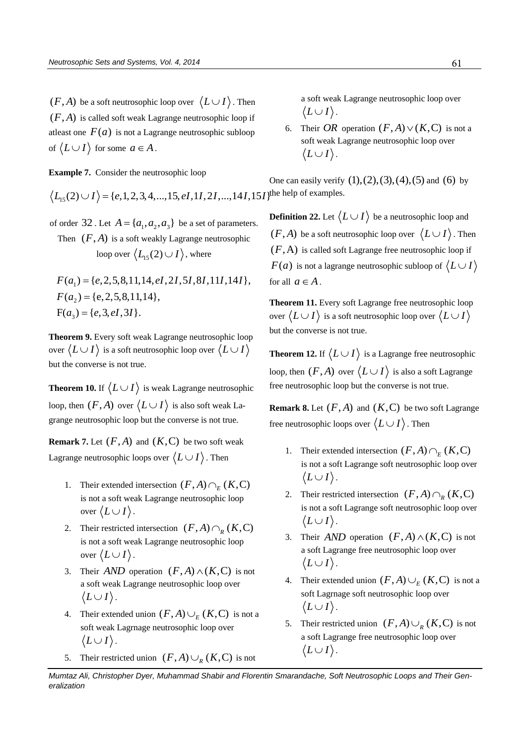$(F, A)$  be a soft neutrosophic loop over  $\langle L \cup I \rangle$ . Then  $(F, A)$  is called soft weak Lagrange neutrosophic loop if atleast one  $F(a)$  is not a Lagrange neutrosophic subloop of  $\langle L \cup I \rangle$  for some  $a \in A$ .

**Example 7.** Consider the neutrosophic loop One can eas\n
$$
\langle L_{15}(2) \cup I \rangle = \{e, 1, 2, 3, 4, \dots, 15, eI, 1I, 2I, \dots, 14I, 15I \}
$$

of order 32. Let  $A = \{a_1, a_2, a_3\}$  be a set of parameters.

Then 
$$
(F, A)
$$
 is a soft weakly Lagrange neutrosophic  
loop over  $\langle L_{15}(2) \cup I \rangle$ , where

$$
F(a_1) = \{e, 2, 5, 8, 11, 14, eI, 2I, 5I, 8I, 11I, 14I\},\
$$

$$
F(a_2) = \{e, 2, 5, 8, 11, 14\},\
$$

$$
F(a_3) = \{e, 3, eI, 3I\}.
$$

**Theorem 9.** Every soft weak Lagrange neutrosophic loop over  $\langle L \cup I \rangle$  is a soft neutrosophic loop over  $\langle L \cup I \rangle$ but the converse is not true.

**Theorem 10.** If  $\langle L \cup I \rangle$  is weak Lagrange neutrosophic loop, then  $(F, A)$  over  $\langle L \cup I \rangle$  is also soft weak Lagrange neutrosophic loop but the converse is not true.

**Remark 7.** Let  $(F, A)$  and  $(K, C)$  be two soft weak Lagrange neutrosophic loops over  $\langle L \cup I \rangle$  . Then

- 1. Their extended intersection  $(F, A) \cap_E (K, C)$ is not a soft weak Lagrange neutrosophic loop over  $\langle L \cup I \rangle$  .
- 2. Their restricted intersection  $(F, A) \cap_R (K, C)$ is not a soft weak Lagrange neutrosophic loop over  $\langle L \cup I \rangle$ .
- 3. Their *AND* operation  $(F, A) \wedge (K, C)$  is not a soft weak Lagrange neutrosophic loop over  $\langle L \cup I \rangle$ .
- 4. Their extended union  $(F, A) \cup_E (K, C)$  is not a soft weak Lagrnage neutrosophic loop over  $\langle L \cup I \rangle$ .
- 5. Their restricted union  $(F, A) \cup_R (K, C)$  is not

a soft weak Lagrange neutrosophic loop over  $\langle L \cup I \rangle$ .

6. Their *OR* operation  $(F, A) \vee (K, C)$  is not a soft weak Lagrange neutrosophic loop over  $\langle L \cup I \rangle$ .

One can easily verify  $(1), (2), (3), (4), (5)$  and  $(6)$  by examples.

**Definition 22.** Let  $\langle L \cup I \rangle$  be a neutrosophic loop and  $(F, A)$  be a soft neutrosophic loop over  $\langle L \cup I \rangle$ . Then  $(F, A)$  is called soft Lagrange free neutrosophic loop if  $F(a)$  is not a lagrange neutrosophic subloop of  $\langle L \cup R \rangle$ for all  $a \in A$ .

**Theorem 11.** Every soft Lagrange free neutrosophic loop over  $\langle L \cup I \rangle$  is a soft neutrosophic loop over  $\langle L \cup I \rangle$ but the converse is not true.

**Theorem 12.** If  $\langle L \cup I \rangle$  is a Lagrange free neutrosophic loop, then  $(F, A)$  over  $\langle L \cup I \rangle$  is also a soft Lagrange free neutrosophic loop but the converse is not true.

**Remark 8.** Let  $(F, A)$  and  $(K, C)$  be two soft Lagrange free neutrosophic loops over  $\langle L \cup I \rangle$ . Then

- 1. Their extended intersection  $(F, A) \cap_E (K, C)$ is not a soft Lagrange soft neutrosophic loop over  $\langle L \cup I \rangle$ .
- 2. Their restricted intersection  $(F, A) \cap_R (K, C)$ is not a soft Lagrange soft neutrosophic loop over  $\langle L \cup I \rangle$ .
- 3. Their *AND* operation  $(F, A) \wedge (K, C)$  is not a soft Lagrange free neutrosophic loop over  $\langle L \cup I \rangle$ .
- 4. Their extended union  $(F, A) \cup_E (K, C)$  is not a soft Lagrnage soft neutrosophic loop over  $\langle L \cup I \rangle$ .
- 5. Their restricted union  $(F, A) \cup_R (K, C)$  is not a soft Lagrange free neutrosophic loop over  $\langle L \cup I \rangle$ .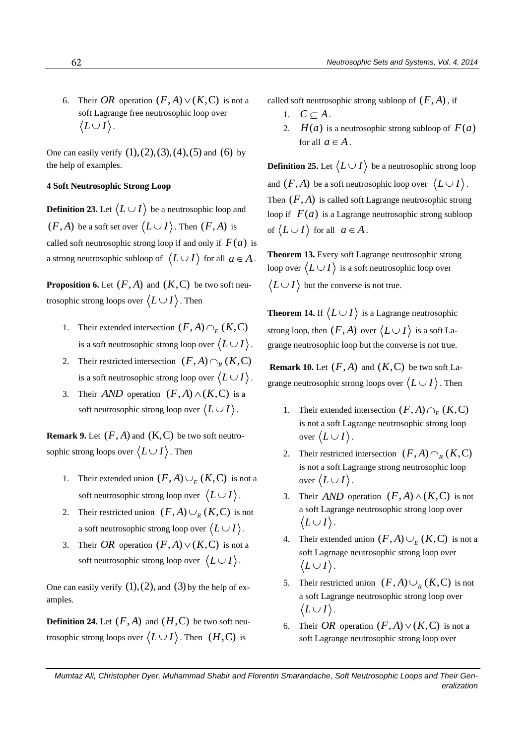6. Their *OR* operation  $(F, A) \vee (K, C)$  is not a soft Lagrange free neutrosophic loop over  $\langle L \cup I \rangle$ .

One can easily verify  $(1), (2), (3), (4), (5)$  and  $(6)$  by the help of examples.

## **4 Soft Neutrosophic Strong Loop**

**Definition 23.** Let  $\langle L \cup I \rangle$  be a neutrosophic loop and  $(F, A)$  be a soft set over  $\langle L \cup I \rangle$ . Then  $(F, A)$  is called soft neutrosophic strong loop if and only if  $F(a)$  is a strong neutrosophic subloop of  $\langle L \cup I \rangle$  for all  $a \in A$ .

**Proposition 6.** Let  $(F, A)$  and  $(K, C)$  be two soft neutrosophic strong loops over  $\langle L \cup I \rangle$ . Then

- 1. Their extended intersection  $(F, A) \cap_E (K, C)$ is a soft neutrosophic strong loop over  $\langle L \cup I \rangle$ .
- 2. Their restricted intersection  $(F, A) \cap_R (K, C)$ is a soft neutrosophic strong loop over  $\langle L \cup I \rangle$ .
- 3. Their *AND* operation  $(F, A) \wedge (K, C)$  is a soft neutrosophic strong loop over  $\langle L \cup I \rangle$ .

**Remark 9.** Let  $(F, A)$  and  $(K, C)$  be two soft neutrosophic strong loops over  $\langle L \cup I \rangle$  . Then

- 1. Their extended union  $(F, A) \cup_E (K, C)$  is not a soft neutrosophic strong loop over  $\langle L \cup I \rangle$ .
- 2. Their restricted union  $(F, A) \cup_R (K, C)$  is not a soft neutrosophic strong loop over  $\langle L \cup I \rangle$ .
- 3. Their OR operation  $(F, A) \vee (K, C)$  is not a soft neutrosophic strong loop over  $\langle L \cup I \rangle$ .

One can easily verify  $(1)$ ,  $(2)$ , and  $(3)$  by the help of examples.

**Definition 24.** Let  $(F, A)$  and  $(H, C)$  be two soft neutrosophic strong loops over  $\langle L \cup I \rangle$ . Then  $(H, C)$  is

called soft neutrosophic strong subloop of  $(F, A)$ , if

- 1.  $C \subseteq A$ .
- 2.  $H(a)$  is a neutrosophic strong subloop of  $F(a)$ for all  $a \in A$ .

**Definition 25.** Let  $\langle L \cup I \rangle$  be a neutrosophic strong loop and  $(F, A)$  be a soft neutrosophic loop over  $\langle L \cup I \rangle$ . Then  $(F, A)$  is called soft Lagrange neutrosophic strong loop if  $F(a)$  is a Lagrange neutrosophic strong subloop of  $\langle L \cup I \rangle$  for all  $a \in A$ .

**Theorem 13.** Every soft Lagrange neutrosophic strong loop over  $\langle L \cup I \rangle$  is a soft neutrosophic loop over  $|L \cup I\rangle$  but the converse is not true.

**Theorem 14.** If  $\langle L \cup I \rangle$  is a Lagrange neutrosophic strong loop, then  $(F, A)$  over  $\langle L \cup I \rangle$  is a soft Lagrange neutrosophic loop but the converse is not true.

**Remark 10.** Let  $(F, A)$  and  $(K, C)$  be two soft Lagrange neutrosophic strong loops over  $\langle L \cup I \rangle$ . Then

- 1. Their extended intersection  $(F, A) \cap_E (K, C)$ is not a soft Lagrange neutrosophic strong loop over  $\langle L \cup I \rangle$ .
- 2. Their restricted intersection  $(F, A) \cap_R (K, C)$ is not a soft Lagrange strong neutrosophic loop over  $\langle L \cup I \rangle$ .
- 3. Their *AND* operation  $(F, A) \wedge (K, C)$  is not a soft Lagrange neutrosophic strong loop over  $\langle L \cup I \rangle$ .
- 4. Their extended union  $(F, A) \cup_E (K, C)$  is not a soft Lagrnage neutrosophic strong loop over  $\langle L \cup I \rangle$ .
- 5. Their restricted union  $(F, A) \cup_R (K, C)$  is not a soft Lagrange neutrosophic strong loop over  $\langle L \cup I \rangle$ .
- 6. Their *OR* operation  $(F, A) \vee (K, C)$  is not a soft Lagrange neutrosophic strong loop over

*Mumtaz Ali, Christopher Dyer, Muhammad Shabir and Florentin Smarandache, Soft Neutrosophic Loops and Their Generalization*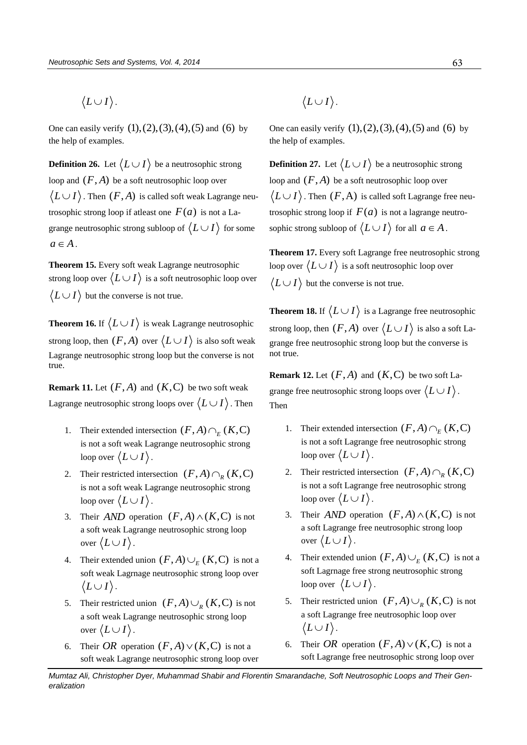$\langle L \cup I \rangle$ .

One can easily verify  $(1), (2), (3), (4), (5)$  and  $(6)$  by the help of examples.

**Definition 26.** Let  $\langle L \cup I \rangle$  be a neutrosophic strong loop and  $(F, A)$  be a soft neutrosophic loop over  $L\!\cup\!I\rangle$  . Then  $(F,A)$  is called soft weak Lagrange neutrosophic strong loop if atleast one  $F(a)$  is not a Lagrange neutrosophic strong subloop of  $\langle L \cup I \rangle$  for some  $a \in A$ .

**Theorem 15.** Every soft weak Lagrange neutrosophic strong loop over  $\langle L \cup I \rangle$  is a soft neutrosophic loop over  $L \cup I$  but the converse is not true.

**Theorem 16.** If  $\langle L \cup I \rangle$  is weak Lagrange neutrosophic strong loop, then  $(F, A)$  over  $\langle L \cup I \rangle$  is also soft weak Lagrange neutrosophic strong loop but the converse is not true.

**Remark 11.** Let  $(F, A)$  and  $(K, C)$  be two soft weak Lagrange neutrosophic strong loops over  $\langle L \cup I \rangle$ . Then

- 1. Their extended intersection  $(F, A) \cap_E (K, C)$ is not a soft weak Lagrange neutrosophic strong loop over  $\langle L \cup I \rangle$  .
- 2. Their restricted intersection  $(F, A) \cap_R (K, C)$ is not a soft weak Lagrange neutrosophic strong loop over  $\langle L \cup I \rangle$  .
- 3. Their *AND* operation  $(F, A) \wedge (K, C)$  is not a soft weak Lagrange neutrosophic strong loop over  $\langle L \cup I \rangle$ .
- 4. Their extended union  $(F, A) \cup_E (K, C)$  is not a soft weak Lagrnage neutrosophic strong loop over  $\langle L \cup I \rangle$ .
- 5. Their restricted union  $(F, A) \cup_R (K, C)$  is not a soft weak Lagrange neutrosophic strong loop over  $\langle L \cup I \rangle$  .
- 6. Their *OR* operation  $(F, A) \vee (K, C)$  is not a soft weak Lagrange neutrosophic strong loop over

 $\langle L \cup I \rangle$ .

One can easily verify  $(1), (2), (3), (4), (5)$  and  $(6)$  by the help of examples.

**Definition 27.** Let  $\langle L \cup I \rangle$  be a neutrosophic strong loop and  $(F, A)$  be a soft neutrosophic loop over  $|L \cup I\rangle$  . Then  $(F, A)$  is called soft Lagrange free neutrosophic strong loop if  $F(a)$  is not a lagrange neutrosophic strong subloop of  $\langle L \cup I \rangle$  for all  $a \in A$ .

**Theorem 17.** Every soft Lagrange free neutrosophic strong loop over  $\langle L \cup I \rangle$  is a soft neutrosophic loop over  $|L \cup I\rangle$  but the converse is not true.

**Theorem 18.** If  $\langle L \cup I \rangle$  is a Lagrange free neutrosophic strong loop, then  $(F, A)$  over  $\langle L \cup I \rangle$  is also a soft Lagrange free neutrosophic strong loop but the converse is not true.

**Remark 12.** Let  $(F, A)$  and  $(K, C)$  be two soft Lagrange free neutrosophic strong loops over  $\langle L \cup I \rangle$ . Then

- 1. Their extended intersection  $(F, A) \cap_E (K, C)$ is not a soft Lagrange free neutrosophic strong loop over  $\langle L \cup I \rangle$  .
- 2. Their restricted intersection  $(F, A) \cap_R (K, C)$ is not a soft Lagrange free neutrosophic strong loop over  $\langle L \cup I \rangle$  .
- 3. Their *AND* operation  $(F, A) \wedge (K, C)$  is not a soft Lagrange free neutrosophic strong loop over  $\langle L \cup I \rangle$  .
- 4. Their extended union  $(F, A) \cup_{E} (K, C)$  is not a soft Lagrnage free strong neutrosophic strong loop over  $\langle L \cup I \rangle$  .
- 5. Their restricted union  $(F, A) \cup_R (K, C)$  is not a soft Lagrange free neutrosophic loop over  $\langle L \cup I \rangle$ .
- 6. Their *OR* operation  $(F, A) \vee (K, C)$  is not a soft Lagrange free neutrosophic strong loop over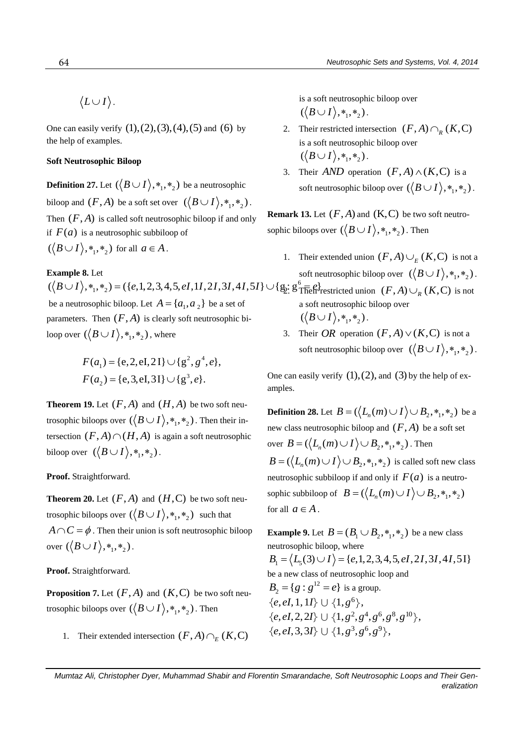$\langle L \cup I \rangle$ .

One can easily verify  $(1), (2), (3), (4), (5)$  and  $(6)$  by the help of examples.

# **Soft Neutrosophic Biloop**

**Definition 27.** Let  $(\langle B \cup I \rangle, *_1, *_2)$  be a neutrosophic biloop and  $(F, A)$  be a soft set over  $\left(\langle B \cup I \rangle, *, *, *_{2}\right)$ . Then  $(F, A)$  is called soft neutrosophic biloop if and only if  $F(a)$  is a neutrosophic subbiloop of  $({\langle B \cup I \rangle}, *_1, *_2)$  for all  $a \in A$ .

# **Example 8.** Let

 $({\langle B \cup I \rangle}, *, *, *) = ({e, 1, 2, 3, 4, 5, eI, 1I, 2I, 3I, 4I, 5I} \cup {\{}$ be a neutrosophic biloop. Let  $A = \{a_1, a_2\}$  be a set of parameters. Then  $(F, A)$  is clearly soft neutrosophic biloop over  $(\big\langle B\cup I \big\rangle, *_1, *_2)$  , where

$$
F(a_1) = \{e, 2, eI, 2I\} \cup \{g^2, g^4, e\},
$$
  

$$
F(a_2) = \{e, 3, eI, 3I\} \cup \{g^3, e\}.
$$

**Theorem 19.** Let  $(F, A)$  and  $(H, A)$  be two soft neutrosophic biloops over  $(\big< B\cup I\big> , *_1, *_2)$  . Then their intersection  $(F, A) \cap (H, A)$  is again a soft neutrosophic biloop over  $(\langle B \cup I \rangle, *, *,_2)$ .

**Proof.** Straightforward.

**Theorem 20.** Let  $(F, A)$  and  $(H, C)$  be two soft neutrosophic biloops over  $({\langle B \cup I \rangle}, *_1, *_2)$  such that  $A \cap C = \phi$ . Then their union is soft neutrosophic biloop over  $({\langle B \cup I \rangle}, *_1, *_2)$ .

**Proof.** Straightforward.

**Proposition 7.** Let  $(F, A)$  and  $(K, C)$  be two soft neutrosophic biloops over  $(\big\langle B\cup I\big\rangle,*_{_1},*_{_2})$  . Then

1. Their extended intersection  $(F, A) \cap_E (K, C)$ 

is a soft neutrosophic biloop over  $(\langle B \cup I \rangle, *, *, *$ <sub>2</sub>).

- 2. Their restricted intersection  $(F, A) \cap_R (K, C)$ is a soft neutrosophic biloop over  $(\langle B \cup I \rangle, *, *, \rangle)$ .
- 3. Their *AND* operation  $(F, A) \wedge (K, C)$  is a soft neutrosophic biloop over  $({\langle B \cup I \rangle}, *_1, *_2)$ .

**Remark 13.** Let  $(F, A)$  and  $(K, C)$  be two soft neutrosophic biloops over  $({\langle B \cup I \rangle}, *_1, *_2)$ . Then

1. Their extended union  $(F, A) \cup_{E} (K, C)$  is not a soft neutrosophic biloop over  $\left(\langle B \cup I \rangle, *, *, *_{2}\right)$ .

$$
\mathfrak{L}:\mathfrak{L}^6\overline{\text{Thefl}}\text{-}{\text{restricted union }}(F,A)\cup_R (K,C) \text{ is not a soft neutrosophic biloop over }\left(\langle B\cup I\rangle,\ast_1,\ast_2\right).
$$

3. Their OR operation  $(F, A) \vee (K, C)$  is not a soft neutrosophic biloop over  $(\langle B \cup I \rangle, *, *,)_2$ ).

One can easily verify  $(1)$ ,  $(2)$ , and  $(3)$  by the help of examples.

**Definition 28.** Let  $B = (\langle L_n(m) \cup I \rangle \cup B_2, *, *, *_2)$  be a new class neutrosophic biloop and  $(F, A)$  be a soft set over  $B = (\langle L_n(m) \cup I \rangle \cup B_2, *, *, *_2)$ . Then  $B = (\langle L_n(m) \cup I \rangle \cup B_2, *_{1}, *_{2})$  is called soft new class neutrosophic subbiloop if and only if  $F(a)$  is a neutrosophic subbiloop of  $B = (\langle L_n(m) \cup I \rangle \cup B_2, *, *, *_2)$ for all  $a \in A$ .

**Example 9.** Let  $B = (B_1 \cup B_2, \ast_1, \ast_2)$  be a new class neutrosophic biloop, where  $B_1 = \langle L_5(3) \cup I \rangle = \{e, 1, 2, 3, 4, 5, eI, 2I, 3I, 4I, 5I\}$ be a new class of neutrosophic loop and  $B_2 = \{g : g^{12} = e\}$  is a group.  $\{e, eI, 1, 1I\} \cup \{1, g^6\},\$  $\{e, el, 2, 2I\} \cup \{1, g^2, g^4, g^6, g^8, g^{10}\},\$  $\{e, eI, 3, 3I\} \cup \{1, g^3, g^6, g^9\},\$ 

*Mumtaz Ali, Christopher Dyer, Muhammad Shabir and Florentin Smarandache, Soft Neutrosophic Loops and Their Generalization*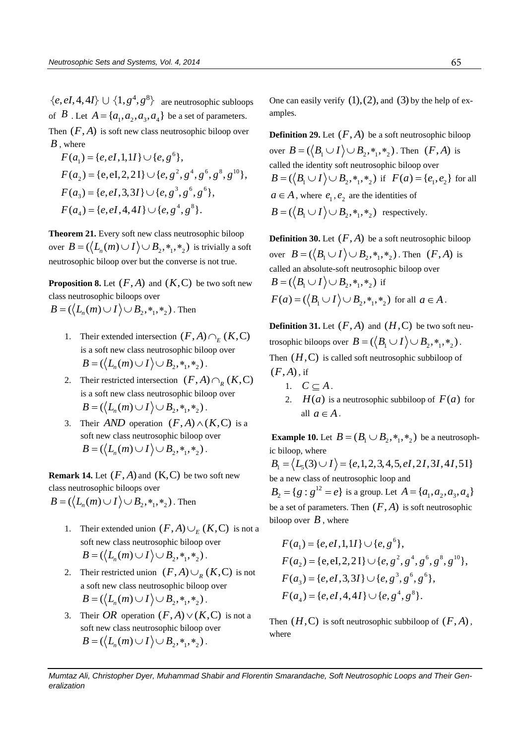$\{e, eI, 4, 4I\} \cup \{1, g^4, g^8\}$  are neutrosophic subloops of  $B$ . Let  $A = \{a_1, a_2, a_3, a_4\}$  be a set of parameters. Then  $(F, A)$  is soft new class neutrosophic biloop over *B* , where  $=\{e, eI, 1, 1I\} \cup \{e, g^e\}$ 

where  
\n
$$
F(a_1) = \{e, eI, 1, 1I\} \cup \{e, g^6\},
$$
\n
$$
F(a_2) = \{e, eI, 2, 2I\} \cup \{e, g^2, g^4, g^6, g^8, g^{10}\},
$$
\n
$$
F(a_3) = \{e, eI, 3, 3I\} \cup \{e, g^3, g^6, g^6\},
$$
\n
$$
F(a_4) = \{e, eI, 4, 4I\} \cup \{e, g^4, g^8\}.
$$

**Theorem 21.** Every soft new class neutrosophic biloop **Theorem 21.** Every soft new class neutrosophic biloop<br>over  $B = (\langle L_n(m) \cup I \rangle \cup B_2, *, *, *_2)$  is trivially a soft neutrosophic biloop over but the converse is not true.

**Proposition 8.** Let  $(F, A)$  and  $(K, C)$  be two soft new class neutrosophic biloops over riass neutrosophic biloops over<br> $B = (\langle L_n(m) \cup I \rangle \cup B_2, *_{1}, *_{2})$ . Then

- 1. Their extended intersection  $(F, A) \cap_E (K, C)$ is a soft new class neutrosophic biloop over s a sort new class neutrosophic biloc<br>  $B = (\langle L_n(m) \cup I \rangle \cup B_2, *, *, *_2)$ .
- 2. Their restricted intersection  $(F, A) \cap_R (K, C)$ is a soft new class neutrosophic biloop over s a sort new class neutrosophic bilod<br> $B = (\langle L_n(m) \cup I \rangle \cup B_2, *, *, *_2)$ .
- 3. Their *AND* operation  $(F, A) \wedge (K, C)$  is a soft new class neutrosophic biloop over Fort new class neutrosophic biloop ov<br>  $B = (\langle L_n(m) \cup I \rangle \cup B_2, *, *, *_2)$ .

**Remark 14.** Let  $(F, A)$  and  $(K, C)$  be two soft new class neutrosophic biloops over riass neutrosophic biloops over<br> $B = (\langle L_n(m) \cup I \rangle \cup B_2, *_{1}, *_{2})$ . Then

- - 1. Their extended union  $(F, A) \cup_E (K, C)$  is not a soft new class neutrosophic biloop over Soft new class neutrosophic biloop ov<br>  $B = (\langle L_n(m) \cup I \rangle \cup B_2, *, *, *_2)$ .
	- 2. Their restricted union  $(F, A) \cup_R (K, C)$  is not a soft new class neutrosophic biloop over  $B = (\langle L_n(m) \cup I \rangle \cup B_2, *, *, *_2).$
	- 3. Their OR operation  $(F, A) \vee (K, C)$  is not a soft new class neutrosophic biloop over Fort new class neutrosophic biloop over<br> $B = (\langle L_n(m) \cup I \rangle \cup B_2, *, *, *_2)$ .

One can easily verify  $(1)$ ,  $(2)$ , and  $(3)$  by the help of examples.

**Definition 29.** Let  $(F, A)$  be a soft neutrosophic biloop over  $B = (\langle B_1 \cup I \rangle \cup B_2, *_{1}, *_{2})$ . Then  $(F, A)$  is called the identity soft neutrosophic biloop over  $B = (\langle B_1 \cup I \rangle \cup B_2, *_{1}, *_{2})$  if  $F(a) = \{e_1, e_2\}$  for all  $a \in A$ , where  $e_1, e_2$  are the identities of  $B = (\langle B_1 \cup I \rangle \cup B_2, *, *,*)$  respectively.

**Definition 30.** Let  $(F, A)$  be a soft neutrosophic biloop over  $B = (\langle B_1 \cup I \rangle \cup B_2, \ast_1, \ast_2)$ . Then  $(F, A)$  is called an absolute-soft neutrosophic biloop over  $B = (\langle B_1 \cup I \rangle \cup B_2, \ast_1, \ast_2)$  if  $F(a) = (\langle B_1 \cup I \rangle \cup B_2, *_{1}, *_{2})$  for all  $a \in A$ .

**Definition 31.** Let  $(F, A)$  and  $(H, C)$  be two soft neutrosophic biloops over  $B = (\langle B_1 \cup I \rangle \cup B_2, \ast_1, \ast_2)$ . Then  $(H, C)$  is called soft neutrosophic subbiloop of  $(F, A)$ , if

- 1.  $C \subseteq A$ .
- 2.  $H(a)$  is a neutrosophic subbiloop of  $F(a)$  for all  $a \in A$ .

**Example 10.** Let  $B = (B_1 \cup B_2, *, *,*)_2)$  be a neutrosophic biloop, where  $B_1 = \langle L_5(3) \cup I \rangle = \{e, 1, 2, 3, 4, 5, eI, 2I, 3I, 4I, 5I\}$ 

be a new class of neutrosophic loop and  $B_2 = \{ g : g^{12} = e \}$  is a group. Let  $A = \{ a_1, a_2, a_3, a_4 \}$ be a set of parameters. Then  $(F, A)$  is soft neutrosophic biloop over  $B$ , where

$$
F(a_1) = \{e, eI, 1, 1I\} \cup \{e, g^6\},
$$
  
\n
$$
F(a_2) = \{e, eI, 2, 2I\} \cup \{e, g^2, g^4, g^6, g^8, g^{10}\},
$$
  
\n
$$
F(a_3) = \{e, eI, 3, 3I\} \cup \{e, g^3, g^6, g^6\},
$$
  
\n
$$
F(a_4) = \{e, eI, 4, 4I\} \cup \{e, g^4, g^8\}.
$$

Then  $(H, C)$  is soft neutrosophic subbiloop of  $(F, A)$ , where

*Mumtaz Ali, Christopher Dyer, Muhammad Shabir and Florentin Smarandache, Soft Neutrosophic Loops and Their Generalization*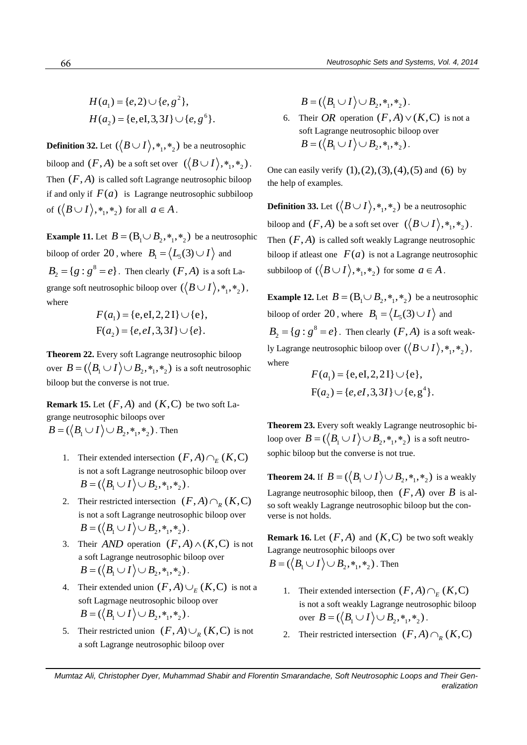$$
H(a_1) = \{e, 2) \cup \{e, g^2\},\
$$
  

$$
H(a_2) = \{e, eI, 3, 3I\} \cup \{e, g^6\}.
$$

**Definition 32.** Let  $(\langle B \cup I \rangle, *_1, *_2)$  be a neutrosophic biloop and  $(F, A)$  be a soft set over  $\left( \langle B \cup I \rangle, *, *, *_2 \right)$ . Then  $(F, A)$  is called soft Lagrange neutrosophic biloop if and only if  $F(a)$  is Lagrange neutrosophic subbiloop of  $(\langle B \cup I \rangle, *_1, *_2)$  for all  $a \in A$ .

**Example 11.** Let  $B = (B_1 \cup B_2, \ast_1, \ast_2)$  be a neutrosophic biloop of order 20, where  $B_1 = \langle L_5(3) \cup I \rangle$  and  $B_2 = \{g : g^8 = e\}$ . Then clearly  $(F, A)$  is a soft Lagrange soft neutrosophic biloop over  $(\langle B \cup I \rangle, *_1, *_2)$ , where and a state

$$
F(a_1) = \{e, eI, 2, 2I\} \cup \{e\},
$$
  
F(a<sub>2</sub>) = \{e, eI, 3, 3I\} \cup \{e\}.

**Theorem 22.** Every soft Lagrange neutrosophic biloop over  $B = (\langle B_1 \cup I \rangle \cup B_2, *, *, *_2)$  is a soft neutrosophic biloop but the converse is not true.

**Remark 15.** Let  $(F, A)$  and  $(K, C)$  be two soft Lagrange neutrosophic biloops over  $B = (\langle B_1 \cup I \rangle \cup B_2, \ast_1, \ast_2)$ . Then

- 1. Their extended intersection  $(F, A) \cap_E (K, C)$ is not a soft Lagrange neutrosophic biloop over  $B = (\langle B_1 \cup I \rangle \cup B_2, \ast_1, \ast_2).$
- 2. Their restricted intersection  $(F, A) \cap_R (K, C)$ is not a soft Lagrange neutrosophic biloop over  $B = (\langle B_1 \cup I \rangle \cup B_2, \ast_1, \ast_2).$
- 3. Their *AND* operation  $(F, A) \wedge (K, C)$  is not a soft Lagrange neutrosophic biloop over  $B = (\langle B_1 \cup I \rangle \cup B_2, *, *, *_{\Sigma} ).$
- 4. Their extended union  $(F, A) \cup_{E} (K, C)$  is not a soft Lagrnage neutrosophic biloop over  $B = (\langle B_1 \cup I \rangle \cup B_2, \ast_1, \ast_2).$
- 5. Their restricted union  $(F, A) \cup_R (K, C)$  is not a soft Lagrange neutrosophic biloop over

 $B = (\langle B_1 \cup I \rangle \cup B_2, *, *, *_{2})$ .

6. Their *OR* operation  $(F, A) \vee (K, C)$  is not a soft Lagrange neutrosophic biloop over  $B = (\langle B_1 \cup I \rangle \cup B_2, \ast_1, \ast_2).$ 

One can easily verify  $(1), (2), (3), (4), (5)$  and  $(6)$  by the help of examples.

**Definition 33.** Let  $(\langle B \cup I \rangle, *, *,)_2)$  be a neutrosophic biloop and  $(F, A)$  be a soft set over  $\left(\langle B \cup I \rangle, *, *, *_2\right)$ . Then  $(F, A)$  is called soft weakly Lagrange neutrosophic biloop if atleast one  $F(a)$  is not a Lagrange neutrosophic subbiloop of  $({\langle B \cup I \rangle}, *_1, *_2)$  for some  $a \in A$ .

<sup>2</sup> **f**,  $\mathbf{B} = ((B_1 \cup I) \cup B_1, \mathbf{a}_1, \mathbf{a}_2)$ <br>  $\mathbf{U}(\mathbf{c}, \mathbf{g}^{(k)})$ , **f c**. Their *OR* operation (*F*, A)  $\vee$ (*K*, C) is not a<br>
be a neutrosophic ion for a parameterion (*F*, A)  $\vee$ (*K*, C) is not a<br>  $B = ((B_1 \$ **Example 12.** Let  $B = (B_1 \cup B_2, \ast_1, \ast_2)$  be a neutrosophic biloop of order 20, where  $B_1 = \langle L_5(3) \cup I \rangle$  and  $B_2 = \{g : g^8 = e\}$ . Then clearly  $(F, A)$  is a soft weakly Lagrange neutrosophic biloop over  $(\langle B \cup I \rangle, *_1, *_2)$ , where

$$
F(a_1) = \{e, eI, 2, 2I\} \cup \{e\},
$$
  
 
$$
F(a_2) = \{e, eI, 3, 3I\} \cup \{e, g^4\}.
$$

**Theorem 23.** Every soft weakly Lagrange neutrosophic biloop over  $B = (\langle B_1 \cup I \rangle \cup B_2, *_{1}, *_{2})$  is a soft neutrosophic biloop but the converse is not true.

**Theorem 24.** If  $B = (\langle B_1 \cup I \rangle \cup B_2, \ast_1, \ast_2)$  is a weakly Lagrange neutrosophic biloop, then  $(F, A)$  over  $B$  is also soft weakly Lagrange neutrosophic biloop but the converse is not holds.

**Remark 16.** Let  $(F, A)$  and  $(K, C)$  be two soft weakly Lagrange neutrosophic biloops over  $B = (\langle B_1 \cup I \rangle \cup B_2, *_{1}, *_{2})$ . Then

- 1. Their extended intersection  $(F, A) \cap_E (K, C)$ is not a soft weakly Lagrange neutrosophic biloop over  $B = (\langle B_1 \cup I \rangle \cup B_2, *_1, *_2)$ .
- 2. Their restricted intersection  $(F, A) \cap_R (K, C)$

*Mumtaz Ali, Christopher Dyer, Muhammad Shabir and Florentin Smarandache, Soft Neutrosophic Loops and Their Gen-*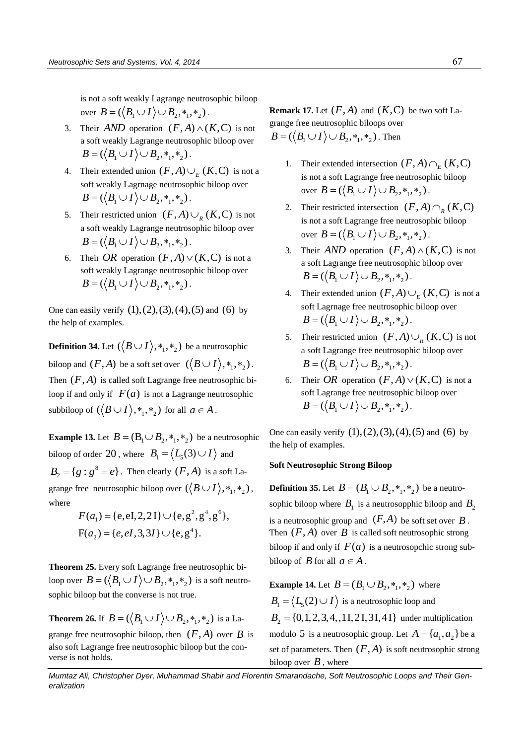is not a soft weakly Lagrange neutrosophic biloop over  $B = (\langle B_1 \cup I \rangle \cup B_2, *_{1}, *_{2}).$ 

- 3. Their *AND* operation  $(F, A) \wedge (K, C)$  is not a soft weakly Lagrange neutrosophic biloop over  $B = (\langle B_1 \cup I \rangle \cup B_2, *, *, *_{\Sigma} ).$
- 4. Their extended union  $(F, A) \cup_E (K, C)$  is not a soft weakly Lagrnage neutrosophic biloop over  $B = (\langle B_1 \cup I \rangle \cup B_2, *, *, *_{\Sigma} ).$
- 5. Their restricted union  $(F, A) \cup_R (K, C)$  is not a soft weakly Lagrange neutrosophic biloop over  $B = (\langle B_1 \cup I \rangle \cup B_2, *, *, *_{\Sigma} ).$
- 6. Their *OR* operation  $(F, A) \vee (K, C)$  is not a soft weakly Lagrange neutrosophic biloop over  $B = (\langle B_1 \cup I \rangle \cup B_2, *, *, *_{2}).$

One can easily verify  $(1), (2), (3), (4), (5)$  and  $(6)$  by the help of examples.

**Definition 34.** Let  $(\langle B \cup I \rangle, *_1, *_2)$  be a neutrosophic biloop and  $(F, A)$  be a soft set over  $\left(\langle B \cup I \rangle, *, *, *_{2}\right)$ . Then  $(F, A)$  is called soft Lagrange free neutrosophic biloop if and only if  $F(a)$  is not a Lagrange neutrosophic subbiloop of  $({\langle B \cup I \rangle}, *_1, *_2)$  for all  $a \in A$ .

**Example 13.** Let  $B = (B_1 \cup B_2, \ast_1, \ast_2)$  be a neutrosophic biloop of order 20, where  $B_1 = \langle L_5(3) \cup I \rangle$  and  $B_2 = \{g : g^8 = e\}$ . Then clearly  $(F, A)$  is a soft Lagrange free neutrosophic biloop over  $(\langle B \cup I \rangle, *, *,*)_2)$ , where

$$
F(a_1) = \{e, eI, 2, 2I\} \cup \{e, g^2, g^4, g^6\},
$$
  
 
$$
F(a_2) = \{e, eI, 3, 3I\} \cup \{e, g^4\}.
$$

**Theorem 25.** Every soft Lagrange free neutrosophic biloop over  $B = (\langle B_1 \cup I \rangle \cup B_2, *_{1}, *_{2})$  is a soft neutrosophic biloop but the converse is not true.

**Theorem 26.** If  $B = (\langle B_1 \cup I \rangle \cup B_2, \ast_1, \ast_2)$  is a La-

grange free neutrosophic biloop, then  $(F, A)$  over  $B$  is also soft Lagrange free neutrosophic biloop but the converse is not holds.

**Remark 17.** Let  $(F, A)$  and  $(K, C)$  be two soft Lagrange free neutrosophic biloops over  $B = (\langle B_1 \cup I \rangle \cup B_2, *_{1}, *_{2})$ . Then

- 1. Their extended intersection  $(F, A) \cap_E (K, C)$ is not a soft Lagrange free neutrosophic biloop over  $B = (\langle B_1 \cup I \rangle \cup B_2, \ast_1, \ast_2)$ .
- 2. Their restricted intersection  $(F, A) \cap_R (K, C)$ is not a soft Lagrange free neutrosophic biloop over  $B = (\langle B_1 \cup I \rangle \cup B_2, \ast_1, \ast_2)$ .
- 3. Their *AND* operation  $(F, A) \wedge (K, C)$  is not a soft Lagrange free neutrosophic biloop over  $B = (\langle B_1 \cup I \rangle \cup B_2, *, *, *_{\Sigma} ).$
- 4. Their extended union  $(F, A) \cup_E (K, C)$  is not a soft Lagrnage free neutrosophic biloop over  $B = (\langle B_1 \cup I \rangle \cup B_2, *, *, *_{\gamma} \rangle)$
- 5. Their restricted union  $(F, A) \cup_R (K, C)$  is not a soft Lagrange free neutrosophic biloop over  $B = (\langle B_1 \cup I \rangle \cup B_2, *, *, *_{\circ})$ .
- 6. Their OR operation  $(F, A) \vee (K, C)$  is not a soft Lagrange free neutrosophic biloop over  $B = (\langle B_1 \cup I \rangle \cup B_2, *, *, *_{\Sigma} \rangle).$

One can easily verify  $(1), (2), (3), (4), (5)$  and  $(6)$  by the help of examples.

#### **Soft Neutrosophic Strong Biloop**

**Definition 35.** Let  $B = (B_1 \cup B_2, \ast_1, \ast_2)$  be a neutrosophic biloop where  $B_1$  is a neutrosopphic biloop and  $B_2$ is a neutrosophic group and  $(F, A)$  be soft set over  $B$ . Then  $(F, A)$  over  $B$  is called soft neutrosophic strong biloop if and only if  $F(a)$  is a neutrosopchic strong subbiloop of  $B$  for all  $a \in A$ .

**Example 14.** Let  $B = (B_1 \cup B_2, *_{1}, *_{2})$  where  $B_1 = \langle L_5(2) \cup I \rangle$  is a neutrosophic loop and  $B_2 = \{0, 1, 2, 3, 4, 1, 1, 2, 1, 3, 1, 4, 1\}$  under multiplication modulo 5 is a neutrosophic group. Let  $A = \{a_1, a_2\}$  be a set of parameters. Then  $(F, A)$  is soft neutrosophic strong biloop over  $B$ , where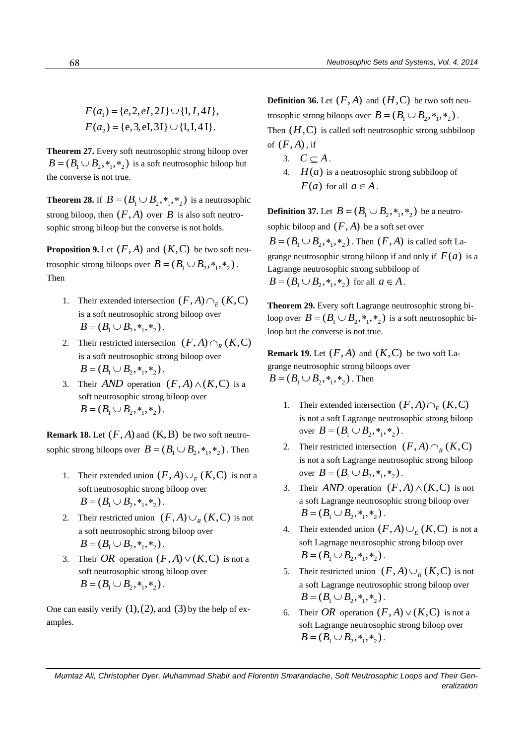$$
F(a_1) = \{e, 2, eI, 2I\} \cup \{1, I, 4I\},
$$
  

$$
F(a_2) = \{e, 3, eI, 3I\} \cup \{1, I, 4I\}.
$$

**Theorem 27.** Every soft neutrosophic strong biloop over  $B = (B_1 \cup B_2, *, *, *_2)$  is a soft neutrosophic biloop but the converse is not true.

**Theorem 28.** If  $B = (B_1 \cup B_2, \ast_1, \ast_2)$  is a neutrosophic strong biloop, then  $(F, A)$  over  $B$  is also soft neutrosophic strong biloop but the converse is not holds.

**Proposition 9.** Let  $(F, A)$  and  $(K, C)$  be two soft neutrosophic strong biloops over  $B = (B_1 \cup B_2, *_1, *_2)$ . Then

- 1. Their extended intersection  $(F, A) \cap_E (K, C)$ is a soft neutrosophic strong biloop over  $B = (B_1 \cup B_2, *, *, *_{2}).$
- 2. Their restricted intersection  $(F, A) \cap_R (K, C)$ is a soft neutrosophic strong biloop over  $B = (B_1 \cup B_2, *, *, *_{2}).$
- 3. Their *AND* operation  $(F, A) \wedge (K, C)$  is a soft neutrosophic strong biloop over  $B = (B_1 \cup B_2, *, *, *_{\overline{2}}).$

**Remark 18.** Let  $(F, A)$  and  $(K, B)$  be two soft neutrosophic strong biloops over  $B = (B_1 \cup B_2, *_1, *_2)$ . Then

- 1. Their extended union  $(F, A) \cup_{E} (K, C)$  is not a soft neutrosophic strong biloop over  $B = (B_1 \cup B_2, *, *, *_{2}).$
- 2. Their restricted union  $(F, A) \cup_R (K, C)$  is not a soft neutrosophic strong biloop over  $B = (B_1 \cup B_2, *, *, *_{2}).$
- 3. Their OR operation  $(F, A) \vee (K, C)$  is not a soft neutrosophic strong biloop over  $B = (B_1 \cup B_2, *, *, *_{\gamma}).$

One can easily verify  $(1)$ ,  $(2)$ , and  $(3)$  by the help of examples.

**Definition 36.** Let  $(F, A)$  and  $(H, C)$  be two soft neutrosophic strong biloops over  $B = (B_1 \cup B_2, *_{1}, *_{2})$ . Then  $(H, C)$  is called soft neutrosophic strong subbiloop of  $(F, A)$ , if

- 3.  $C \subseteq A$ .
- 4.  $H(a)$  is a neutrosophic strong subbiloop of  $F(a)$  for all  $a \in A$ .

**Definition 37.** Let  $B = (B_1 \cup B_2, \ast_1, \ast_2)$  be a neutrosophic biloop and  $(F, A)$  be a soft set over  $B = (B_1 \cup B_2, *_1, *_2)$ . Then  $(F, A)$  is called soft Lagrange neutrosophic strong biloop if and only if  $F(a)$  is a Lagrange neutrosophic strong subbiloop of  $B = (B_1 \cup B_2, *, *, *_{2})$  for all  $a \in A$ .

**Theorem 29.** Every soft Lagrange neutrosophic strong biloop over  $B = (B_1 \cup B_2, *, *, *_2)$  is a soft neutrosophic biloop but the converse is not true.

**Remark 19.** Let  $(F, A)$  and  $(K, C)$  be two soft Lagrange neutrosophic strong biloops over  $B = (B_1 \cup B_2, *_1, *_2)$ . Then

- 1. Their extended intersection  $(F, A) \cap_E (K, C)$ is not a soft Lagrange neutrosophic strong biloop over  $B = (B_1 \cup B_2, *_1, *_2)$ .
- 2. Their restricted intersection  $(F, A) \cap_R (K, C)$ is not a soft Lagrange neutrosophic strong biloop over  $B = (B_1 \cup B_2, *_{1}, *_{2}).$
- 3. Their *AND* operation  $(F, A) \wedge (K, C)$  is not a soft Lagrange neutrosophic strong biloop over  $B = (B_1 \cup B_2, *, *, *_{2}).$
- 4. Their extended union  $(F, A) \cup_E (K, C)$  is not a soft Lagrnage neutrosophic strong biloop over  $B = (B_1 \cup B_2, *, *, *_{2}).$
- 5. Their restricted union  $(F, A) \cup_R (K, C)$  is not a soft Lagrange neutrosophic strong biloop over  $B = (B_1 \cup B_2, *, *, *_{\overline{2}}).$
- 6. Their *OR* operation  $(F, A) \vee (K, C)$  is not a soft Lagrange neutrosophic strong biloop over  $B = (B_1 \cup B_2, *, *, *_{2}).$

*Mumtaz Ali, Christopher Dyer, Muhammad Shabir and Florentin Smarandache, Soft Neutrosophic Loops and Their Generalization*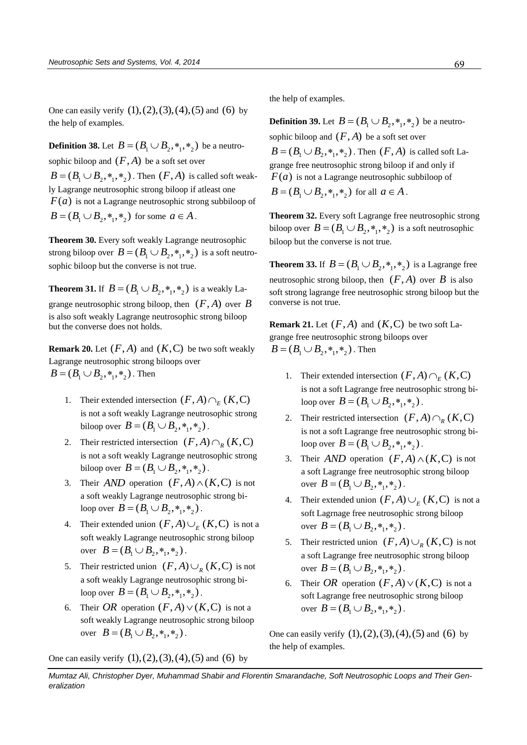One can easily verify  $(1), (2), (3), (4), (5)$  and  $(6)$  by the help of examples.

**Definition 38.** Let  $B = (B_1 \cup B_2, \ast_1, \ast_2)$  be a neutrosophic biloop and  $(F, A)$  be a soft set over  $B = (B_1 \cup B_2, *_1, *_2)$ . Then  $(F, A)$  is called soft weakly Lagrange neutrosophic strong biloop if atleast one  $F(a)$  is not a Lagrange neutrosophic strong subbiloop of  $B = (B_1 \cup B_2, *_{1}, *_{2})$  for some  $a \in A$ .

**Theorem 30.** Every soft weakly Lagrange neutrosophic strong biloop over  $B = (B_1 \cup B_2, \ast_1, \ast_2)$  is a soft neutrosophic biloop but the converse is not true.

**Theorem 31.** If  $B = (B_1 \cup B_2, \ast_1, \ast_2)$  is a weakly Lagrange neutrosophic strong biloop, then  $(F, A)$  over  $B$ is also soft weakly Lagrange neutrosophic strong biloop but the converse does not holds.

**Remark 20.** Let  $(F, A)$  and  $(K, C)$  be two soft weakly Lagrange neutrosophic strong biloops over  $B = (B_1 \cup B_2, *, *, *_{2})$ . Then

- 1. Their extended intersection  $(F, A) \cap_E (K, C)$ is not a soft weakly Lagrange neutrosophic strong biloop over  $B = (B_1 \cup B_2, *_{1}, *_{2}).$
- 2. Their restricted intersection  $(F, A) \cap_R (K, C)$ is not a soft weakly Lagrange neutrosophic strong biloop over  $B = (B_1 \cup B_2, *_{1}, *_{2}).$
- 3. Their *AND* operation  $(F, A) \wedge (K, C)$  is not a soft weakly Lagrange neutrosophic strong biloop over  $B = (B_1 \cup B_2, *_{1}, *_{2}).$
- 4. Their extended union  $(F, A) \cup_E (K, C)$  is not a soft weakly Lagrange neutrosophic strong biloop over  $B = (B_1 \cup B_2, *_{1}, *_{2}).$
- 5. Their restricted union  $(F, A) \cup_R (K, C)$  is not a soft weakly Lagrange neutrosophic strong biloop over  $\vec{B} = (B_1 \cup B_2, *_{1}, *_{2}).$
- 6. Their OR operation  $(F, A) \vee (K, C)$  is not a soft weakly Lagrange neutrosophic strong biloop over  $B = (B_1 \cup B_2, *_{1}, *_{2}).$

the help of examples.

**Definition 39.** Let  $B = (B_1 \cup B_2, \ast_1, \ast_2)$  be a neutrosophic biloop and  $(F, A)$  be a soft set over  $B = (B_1 \cup B_2, *_1, *_2)$ . Then  $(F, A)$  is called soft Lagrange free neutrosophic strong biloop if and only if  $F(a)$  is not a Lagrange neutrosophic subbiloop of  $B = (B_1 \cup B_2, *_1, *_2)$  for all  $a \in A$ .

**Theorem 32.** Every soft Lagrange free neutrosophic strong biloop over  $B = (B_1 \cup B_2, \ast_1, \ast_2)$  is a soft neutrosophic biloop but the converse is not true.

**Theorem 33.** If  $B = (B_1 \cup B_2, \ast_1, \ast_2)$  is a Lagrange free neutrosophic strong biloop, then  $(F, A)$  over  $B$  is also soft strong lagrange free neutrosophic strong biloop but the converse is not true.

**Remark 21.** Let  $(F, A)$  and  $(K, C)$  be two soft Lagrange free neutrosophic strong biloops over  $B = (B_1 \cup B_2, *, *, *_{2})$ . Then

- 1. Their extended intersection  $(F, A) \cap_E (K, C)$ is not a soft Lagrange free neutrosophic strong biloop over  $B = (B_1 \cup B_2, *_{1}, *_{2}).$
- 2. Their restricted intersection  $(F, A) \cap_R (K, C)$ is not a soft Lagrange free neutrosophic strong biloop over  $B = (B_1 \cup B_2, *_{1}, *_{2}).$
- 3. Their *AND* operation  $(F, A) \wedge (K, C)$  is not a soft Lagrange free neutrosophic strong biloop over  $B = (B_1 \cup B_2, *, *,)_2$ .
- 4. Their extended union  $(F, A) \cup_E (K, C)$  is not a soft Lagrnage free neutrosophic strong biloop over  $B = (B_1 \cup B_2, \ast_1, \ast_2)$ .
- 5. Their restricted union  $(F, A) \cup_R (K, C)$  is not a soft Lagrange free neutrosophic strong biloop over  $B = (B_1 \cup B_2, \ast_1, \ast_2)$ .
- 6. Their *OR* operation  $(F, A) \vee (K, C)$  is not a soft Lagrange free neutrosophic strong biloop over  $B = (B_1 \cup B_2, \ast_1, \ast_2)$ .

One can easily verify  $(1), (2), (3), (4), (5)$  and  $(6)$  by the help of examples.

One can easily verify  $(1), (2), (3), (4), (5)$  and  $(6)$  by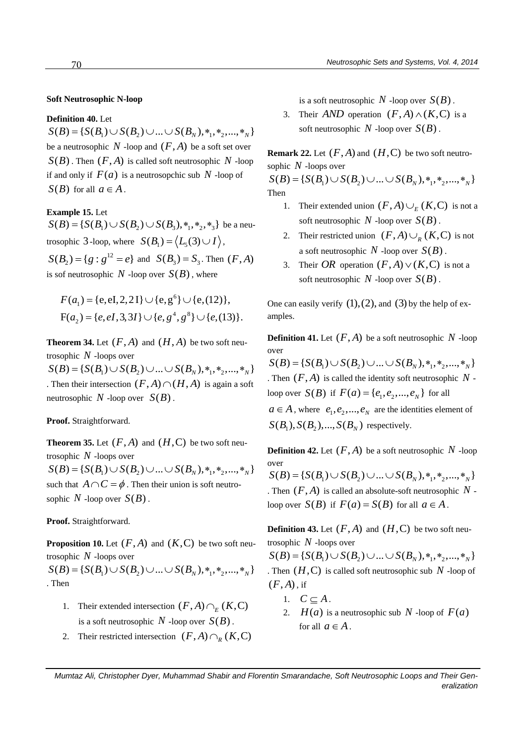# **Soft Neutrosophic N-loop**

## **Definition 40.** Let

 $S(B) = \{ S(B_1) \cup S(B_2) \cup ... \cup S(B_n), *, *, *, ..., *, \}$ be a neutrosophic  $N$  -loop and  $(F, A)$  be a soft set over  $S(B)$ . Then  $(F, A)$  is called soft neutrosophic N -loop if and only if  $F(a)$  is a neutrosopchic sub N -loop of  $S(B)$  for all  $a \in A$ .

# **Example 15.** Let

**Example 15.** Let  $S(B) = \{ S(B_1) \cup S(B_2) \cup S(B_3), *_1, *_2, *_3 \}$  be a neutrosophic 3-loop, where  $S(B_1) = \langle L_5(3) \cup I \rangle$ , 12  $S(B_2) = \{g : g^{12} = e\}$  and  $S(B_3) = S_3$ . Then  $(F, A)$ is sof neutrosophic  $N$  -loop over  $S(B)$ , where

$$
F(a_1) = \{e, eI, 2, 2I\} \cup \{e, g^6\} \cup \{e, (12)\},
$$
  
 
$$
F(a_2) = \{e, eI, 3, 3I\} \cup \{e, g^4, g^8\} \cup \{e, (13)\}.
$$

**Theorem 34.** Let  $(F, A)$  and  $(H, A)$  be two soft neutrosophic *N* -loops over  $S(B) = \{ S(B_1) \cup S(B_2) \cup ... \cup S(B_N), *, *, *, ..., *, N \}$ . Then their intersection  $(F, A) \cap (H, A)$  is again a soft neutrosophic  $N$  -loop over  $S(B)$ .

# **Proof.** Straightforward.

**Theorem 35.** Let  $(F, A)$  and  $(H, C)$  be two soft neutrosophic *N* -loops over  $S(B) = \{ S(B_1) \cup S(B_2) \cup ... \cup S(B_n), *, *, *, ..., *, \}$ such that  $A \cap C = \phi$ . Then their union is soft neutrosophic  $N$  -loop over  $S(B)$ .

# **Proof.** Straightforward.

**Proposition 10.** Let  $(F, A)$  and  $(K, C)$  be two soft neutrosophic *N* -loops over

 $S(B) = \{ S(B_1) \cup S(B_2) \cup ... \cup S(B_n), *, *, *, ..., *, \}$ . Then

- 1. Their extended intersection  $(F, A) \cap_E (K, C)$ is a soft neutrosophic  $N$  -loop over  $S(B)$ .
- 2. Their restricted intersection  $(F, A) \cap_R (K, C)$

is a soft neutrosophic  $N$  -loop over  $S(B)$ .

3. Their *AND* operation  $(F, A) \wedge (K, C)$  is a soft neutrosophic  $N$  -loop over  $S(B)$ .

**Remark 22.** Let  $(F, A)$  and  $(H, C)$  be two soft neutrosophic *N* -loops over  $S(B) = \{ S(B_1) \cup S(B_2) \cup ... \cup S(B_n), *, *, *, ..., *, \}$ 

Then

- 1. Their extended union  $(F, A) \cup_{E} (K, C)$  is not a soft neutrosophic  $N$  -loop over  $S(B)$ .
- 2. Their restricted union  $(F, A) \cup_R (K, C)$  is not a soft neutrosophic  $N$  -loop over  $S(B)$ .
- 3. Their OR operation  $(F, A) \vee (K, C)$  is not a soft neutrosophic  $N$  -loop over  $S(B)$ .

One can easily verify  $(1)$ ,  $(2)$ , and  $(3)$  by the help of examples.

**Definition 41.** Let  $(F, A)$  be a soft neutrosophic N -loop over

 $S(B) = \{ S(B_1) \cup S(B_2) \cup ... \cup S(B_N), *, *, *, ..., *, N \}$ . Then  $(F, A)$  is called the identity soft neutrosophic  $N$  loop over  $S(B)$  if  $F(a) = \{e_1, e_2, ..., e_N\}$  for all

 $a \in A$ , where  $e_1, e_2, ..., e_N$  are the identities element of  $S(B_1), S(B_2),..., S(B_N)$  respectively.

**Definition 42.** Let  $(F, A)$  be a soft neutrosophic N -loop over  $S(B) = \{ S(B_1) \cup S(B_2) \cup ... \cup S(B_n), *, *, *, ..., *, \}$ . Then  $(F, A)$  is called an absolute-soft neutrosophic  $N$  loop over  $S(B)$  if  $F(a) = S(B)$  for all  $a \in A$ .

**Definition 43.** Let  $(F, A)$  and  $(H, C)$  be two soft neutrosophic *N* -loops over

 $S(B) = \{ S(B_1) \cup S(B_2) \cup ... \cup S(B_n), *, *, *, ..., *, N \}$ . Then  $(H, C)$  is called soft neutrosophic sub  $N$  -loop of  $(F, A)$ , if

- 1.  $C \subseteq A$ .
- 2.  $H(a)$  is a neutrosophic sub N -loop of  $F(a)$ for all  $a \in A$ .

*Mumtaz Ali, Christopher Dyer, Muhammad Shabir and Florentin Smarandache, Soft Neutrosophic Loops and Their Generalization*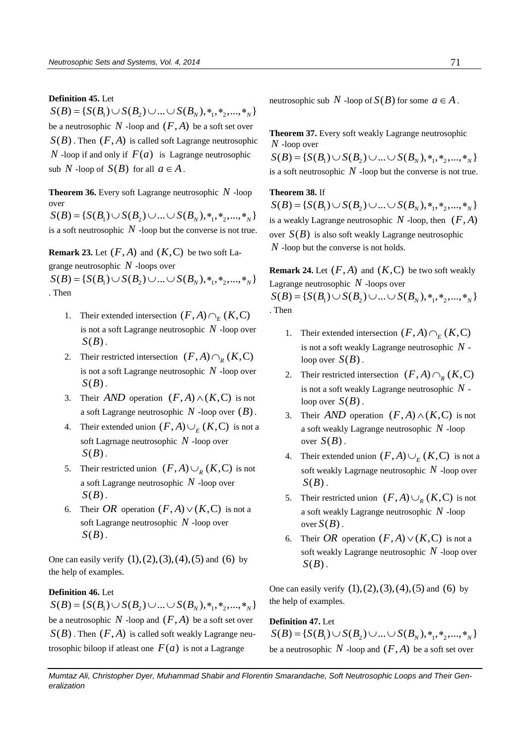## **Definition 45.** Let

 $S(B) = \{ S(B_1) \cup S(B_2) \cup ... \cup S(B_N), *_{1}, *_{2}, ..., *_{N} \}$ be a neutrosophic  $N$  -loop and  $(F, A)$  be a soft set over  $S(B)$ . Then  $(F, A)$  is called soft Lagrange neutrosophic *N* -loop if and only if  $F(a)$  is Lagrange neutrosophic sub N -loop of  $S(B)$  for all  $a \in A$ .

**Theorem 36.** Every soft Lagrange neutrosophic *N* -loop over

 $S(B) = \{ S(B_1) \cup S(B_2) \cup ... \cup S(B_n), *, *, *, ..., *, \}$ is a soft neutrosophic  $N$  -loop but the converse is not true.

**Remark 23.** Let  $(F, A)$  and  $(K, C)$  be two soft Lagrange neutrosophic *N* -loops over

 $S(B) = \{ S(B_1) \cup S(B_2) \cup ... \cup S(B_N), *, *, *, ..., *, N \}$ . Then

- 1. Their extended intersection  $(F, A) \cap_E (K, C)$ is not a soft Lagrange neutrosophic *N* -loop over  $S(B)$ .
- 2. Their restricted intersection  $(F, A) \cap_R (K, C)$ is not a soft Lagrange neutrosophic *N* -loop over  $S(B)$ .
- 3. Their *AND* operation  $(F, A) \wedge (K, C)$  is not a soft Lagrange neutrosophic  $N$  -loop over  $(B)$ .
- 4. Their extended union  $(F, A) \cup_E (K, C)$  is not a soft Lagrnage neutrosophic *N* -loop over  $S(B)$ .
- 5. Their restricted union  $(F, A) \cup_R (K, C)$  is not a soft Lagrange neutrosophic *N* -loop over  $S(B)$ .
- 6. Their OR operation  $(F, A) \vee (K, C)$  is not a soft Lagrange neutrosophic *N* -loop over  $S(B)$ .

One can easily verify  $(1), (2), (3), (4), (5)$  and  $(6)$  by the help of examples.

## **Definition 46.** Let

 $S(B) = \{ S(B_1) \cup S(B_2) \cup ... \cup S(B_N), *, *, *, ..., *, N \}$ be a neutrosophic  $N$  -loop and  $(F, A)$  be a soft set over  $S(B)$ . Then  $(F, A)$  is called soft weakly Lagrange neutrosophic biloop if at least one  $F(a)$  is not a Lagrange

neutrosophic sub  $N$  -loop of  $S(B)$  for some  $a \in A$ .

**Theorem 37.** Every soft weakly Lagrange neutrosophic *N* -loop over  $S(B) = \{ S(B_1) \cup S(B_2) \cup ... \cup S(B_N), *, *, *, ..., *, N \}$ is a soft neutrosophic  $N$  -loop but the converse is not true.

# **Theorem 38.** If

 $S(B) = \{ S(B_1) \cup S(B_2) \cup ... \cup S(B_n), *, *, *, ..., *, \}$ is a weakly Lagrange neutrosophic  $N$  -loop, then  $(F, A)$ over  $S(B)$  is also soft weakly Lagrange neutrosophic *N* -loop but the converse is not holds.

**Remark 24.** Let  $(F, A)$  and  $(K, C)$  be two soft weakly Lagrange neutrosophic *N* -loops over

 $S(B) = \{ S(B_1) \cup S(B_2) \cup ... \cup S(B_n), *, *, *, ..., *, \}$ . Then

- 1. Their extended intersection  $(F, A) \cap_E (K, C)$ is not a soft weakly Lagrange neutrosophic *N* loop over  $S(B)$ .
- 2. Their restricted intersection  $(F, A) \cap_R (K, C)$ is not a soft weakly Lagrange neutrosophic *N* loop over  $S(B)$ .
- 3. Their *AND* operation  $(F, A) \wedge (K, C)$  is not a soft weakly Lagrange neutrosophic *N* -loop over  $S(B)$ .
- 4. Their extended union  $(F, A) \cup_E (K, C)$  is not a soft weakly Lagrnage neutrosophic *N* -loop over  $S(B)$ .
- 5. Their restricted union  $(F, A) \cup_R (K, C)$  is not a soft weakly Lagrange neutrosophic *N* -loop over  $S(B)$ .
- 6. Their *OR* operation  $(F, A) \vee (K, C)$  is not a soft weakly Lagrange neutrosophic *N* -loop over  $S(B)$ .

One can easily verify  $(1), (2), (3), (4), (5)$  and  $(6)$  by the help of examples.

# **Definition 47.** Let

 $S(B) = \{ S(B_1) \cup S(B_2) \cup ... \cup S(B_n), *, *, *, ..., *, \}$ be a neutrosophic  $N$  -loop and  $(F, A)$  be a soft set over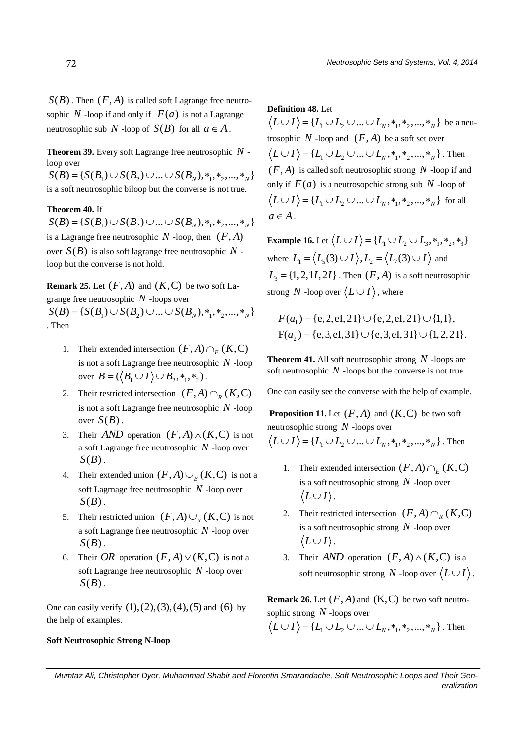$S(B)$ . Then  $(F, A)$  is called soft Lagrange free neutrosophic  $N$  -loop if and only if  $F(a)$  is not a Lagrange neutrosophic sub *N* -loop of  $S(B)$  for all  $a \in A$ .

**Theorem 39.** Every soft Lagrange free neutrosophic *N* loop over

 $S(B) = \{ S(B_1) \cup S(B_2) \cup ... \cup S(B_n), *, *, *, ..., *, \}$ is a soft neutrosophic biloop but the converse is not true.

# **Theorem 40.** If

 $S(B) = \{ S(B_1) \cup S(B_2) \cup ... \cup S(B_n), *, *, *, ..., *, \}$ is a Lagrange free neutrosophic  $N$  -loop, then  $(F, A)$ over  $S(B)$  is also soft lagrange free neutrosophic N loop but the converse is not hold.

**Remark 25.** Let  $(F, A)$  and  $(K, C)$  be two soft Lagrange free neutrosophic *N* -loops over

 $S(B) = \{ S(B_1) \cup S(B_2) \cup ... \cup S(B_n), *, *, *, ..., *, \}$ . Then

- 1. Their extended intersection  $(F, A) \cap_E (K, C)$ is not a soft Lagrange free neutrosophic *N* -loop over  $B = (\langle B_1 \cup I \rangle \cup B_2, *_1, *_2)$ .
- 2. Their restricted intersection  $(F, A) \cap_R (K, C)$ is not a soft Lagrange free neutrosophic *N* -loop over  $S(B)$ .
- 3. Their *AND* operation  $(F, A) \wedge (K, C)$  is not a soft Lagrange free neutrosophic *N* -loop over  $S(B)$ .
- 4. Their extended union  $(F, A) \cup_E (K, C)$  is not a soft Lagrnage free neutrosophic *N* -loop over  $S(B)$ .
- 5. Their restricted union  $(F, A) \cup_R (K, C)$  is not a soft Lagrange free neutrosophic *N* -loop over  $S(B)$ .
- 6. Their *OR* operation  $(F, A) \vee (K, C)$  is not a soft Lagrange free neutrosophic *N* -loop over  $S(B)$ .

One can easily verify  $(1), (2), (3), (4), (5)$  and  $(6)$  by the help of examples.

# **Soft Neutrosophic Strong N-loop**

#### **Definition 48.** Let

**12** 1 2 1 2 1 2 2 2 2 2 2 2  $L_1 \cup L_2 \cup ... \cup L_N$ ,  $*_{1}, *_{2}, ..., *_{N}$  be a neutrosophic  $N$ -loop and  $(F, A)$  be a soft set over osophic N -loop and  $(F, A)$  be a soft set over<br> $L \cup I$   $\rangle = \{L_1 \cup L_2 \cup ... \cup L_N, *, *, *,_2, ..., *,_N\}$ . Then  $(F, A)$  is called soft neutrosophic strong  $N$  -loop if and only if  $F(a)$  is a neutrosopchic strong sub N -loop of nly if  $F(a)$  is a neutrosopchic strong sub N -loop of<br>  $L \cup I$   $\rangle = \{L_1 \cup L_2 \cup ... \cup L_N, *, *, *,_2, ..., *,_N\}$  for all  $a \in A$ .

**Example 16.** Let  $\langle L \cup I \rangle = \{L_1 \cup L_2 \cup L_3, *_1, *_2, *_3\}$ where  $L_1 = \langle L_5(3) \cup I \rangle$ ,  $L_2 = \langle L_7(3) \cup I \rangle$  and  $L_3 = \{1, 2, 1I, 2I\}$ . Then  $(F, A)$  is a soft neutrosophic strong N -loop over  $\langle L \cup I \rangle$ , where

$$
F(a_1) = \{e, 2, eI, 2I\} \cup \{e, 2, eI, 2I\} \cup \{1, I\},
$$
  
 
$$
F(a_2) = \{e, 3, eI, 3I\} \cup \{e, 3, eI, 3I\} \cup \{1, 2, 2I\}.
$$

**Theorem 41.** All soft neutrosophic strong *N* -loops are soft neutrosophic  $N$  -loops but the converse is not true.

One can easily see the converse with the help of example.

**Proposition 11.** Let  $(F, A)$  and  $(K, C)$  be two soft neutrosophic strong *N* -loops over eutrosophic strong N -loops over<br> $L \cup I$   $\rangle = \{L_1 \cup L_2 \cup ... \cup L_N, *,_1, *_2, ..., *_N \}$ . Then

1. Their extended intersection  $(F, A) \cap_E (K, C)$ is a soft neutrosophic strong *N* -loop over

 $\langle L \cup I \rangle$ .

- 2. Their restricted intersection  $(F, A) \cap_R (K, C)$ is a soft neutrosophic strong *N* -loop over  $\langle L \cup I \rangle$ .
- 3. Their *AND* operation  $(F, A) \wedge (K, C)$  is a soft neutrosophic strong N -loop over  $\langle L \cup I \rangle$ .

**Remark 26.** Let  $(F, A)$  and  $(K, C)$  be two soft neutrosophic strong *N* -loops over

pphic strong N -loops over<br> $L \cup I$   $\rangle = \{L_1 \cup L_2 \cup ... \cup L_N, *, *, *,_2, ..., *,_N\}$ . Then

*Mumtaz Ali, Christopher Dyer, Muhammad Shabir and Florentin Smarandache, Soft Neutrosophic Loops and Their Generalization*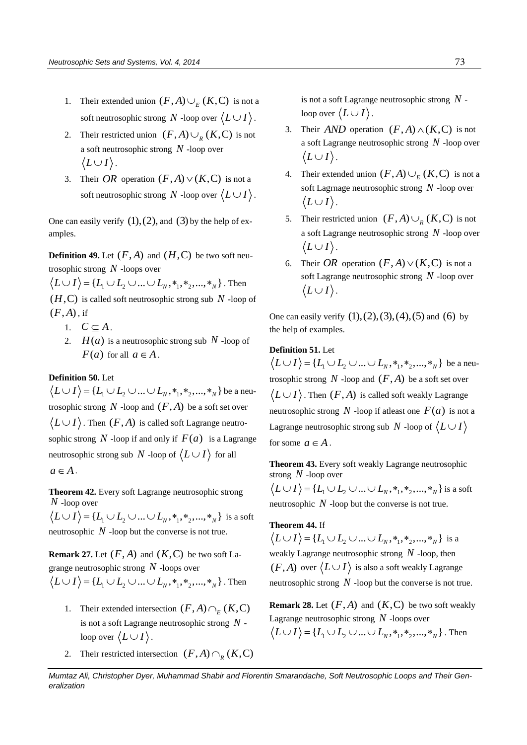- 1. Their extended union  $(F, A) \cup_{E} (K, C)$  is not a soft neutrosophic strong N -loop over  $\langle L \cup I \rangle$ .
- 2. Their restricted union  $(F, A) \cup_R (K, C)$  is not a soft neutrosophic strong *N* -loop over  $\langle L \cup I \rangle$ .
- 3. Their OR operation  $(F, A) \vee (K, C)$  is not a soft neutrosophic strong N -loop over  $\langle L \cup I \rangle$ .

One can easily verify  $(1)$ ,  $(2)$ , and  $(3)$  by the help of examples.

**Definition 49.** Let  $(F, A)$  and  $(H, C)$  be two soft neutrosophic strong *N* -loops over

osophic strong N -loops over<br>  $L \cup I$   $\rangle = \{L_1 \cup L_2 \cup ... \cup L_N, *,_1, *_2, ..., *_N \}$ . Then  $(H, C)$  is called soft neutrosophic strong sub N -loop of  $(F, A)$ , if

- 1.  $C \subseteq A$ .
- 2.  $H(a)$  is a neutrosophic strong sub N -loop of  $F(a)$  for all  $a \in A$ .

# **Definition 50.** Let

**efinition 50.** Let<br>  $L \cup I$   $\rangle$  = { $L_1 \cup L_2 \cup ... \cup L_N$ , \*<sub>1</sub>, \*<sub>2</sub>,..., \*<sub>N</sub> } be a neutrosophic strong  $N$  -loop and  $(F, A)$  be a soft set over  $L \cup I$ ). Then  $(F, A)$  is called soft Lagrange neutrosophic strong  $N$  -loop if and only if  $F(a)$  is a Lagrange neutrosophic strong sub N -loop of  $\langle L \cup I \rangle$  for all  $a \in A$ .

**Theorem 42.** Every soft Lagrange neutrosophic strong *N* -loop over

V -loop over<br>  $L \cup I$   $\rangle = \{L_1 \cup L_2 \cup ... \cup L_N, *, *, *,_2, ..., *,_N\}$  is a soft neutrosophic  $N$  -loop but the converse is not true.

**Remark 27.** Let  $(F, A)$  and  $(K, C)$  be two soft Lagrange neutrosophic strong *N* -loops over range neutrosophic strong N -loops over<br> $L \cup I$   $\rangle = \{L_1 \cup L_2 \cup ... \cup L_N, *, *, *,_2, ..., *,_N\}$ . Then

- 1. Their extended intersection  $(F, A) \cap_E (K, C)$ is not a soft Lagrange neutrosophic strong *N* loop over  $\langle L \cup I \rangle$  .
- 2. Their restricted intersection  $(F, A) \cap_R (K, C)$

is not a soft Lagrange neutrosophic strong *N* loop over  $\langle L \cup I \rangle$  .

- 3. Their *AND* operation  $(F, A) \wedge (K, C)$  is not a soft Lagrange neutrosophic strong *N* -loop over  $\langle L \cup I \rangle$ .
- 4. Their extended union  $(F, A) \cup_E (K, C)$  is not a soft Lagrnage neutrosophic strong *N* -loop over  $\langle L \cup I \rangle$ .
- 5. Their restricted union  $(F, A) \cup_R (K, C)$  is not a soft Lagrange neutrosophic strong *N* -loop over  $\langle L \cup I \rangle$ .
- 6. Their *OR* operation  $(F, A) \vee (K, C)$  is not a soft Lagrange neutrosophic strong *N* -loop over  $\langle L \cup I \rangle$ .

One can easily verify  $(1), (2), (3), (4), (5)$  and  $(6)$  by the help of examples.

# **Definition 51.** Let

**1.** Let  $L \cup I$  = { $L_1 \cup L_2 \cup ... \cup L_N$ , \*<sub>1</sub>, \*<sub>2</sub>, ..., \*<sub>N</sub>} be a neutrosophic strong  $N$  -loop and  $(F, A)$  be a soft set over  $L \cup I$ ). Then  $(F, A)$  is called soft weakly Lagrange neutrosophic strong  $N$  -loop if at least one  $F(a)$  is not a Lagrange neutrosophic strong sub  $N$  -loop of  $\lang{L} \cup I$ for some  $a \in A$ .

**Theorem 43.** Every soft weakly Lagrange neutrosophic strong *N* -loop over

rong *N* -loop over<br>  $L \cup I$   $\rangle = \{L_1 \cup L_2 \cup ... \cup L_N, *_{1}, *_{2}, ..., *_{N}\}\$  is a soft neutrosophic  $N$  -loop but the converse is not true.

**Theorem 44.** If **heorem 44.** If  $L \cup I$   $=$  { $L_1 \cup L_2 \cup ... \cup L_N$ , \*<sub>1</sub>, \*<sub>2</sub>, ..., \*<sub>N</sub> } is a weakly Lagrange neutrosophic strong *N* -loop, then  $(F, A)$  over  $\langle L \cup I \rangle$  is also a soft weakly Lagrange neutrosophic strong  $N$  -loop but the converse is not true.

**Remark 28.** Let  $(F, A)$  and  $(K, C)$  be two soft weakly Lagrange neutrosophic strong *N* -loops over agrange neutrosophic strong N -loops over<br> $L \cup I$   $\rangle = \{L_1 \cup L_2 \cup ... \cup L_N, *, *, *,_2, ..., *,_N\}$ . Then

*Mumtaz Ali, Christopher Dyer, Muhammad Shabir and Florentin Smarandache, Soft Neutrosophic Loops and Their Generalization*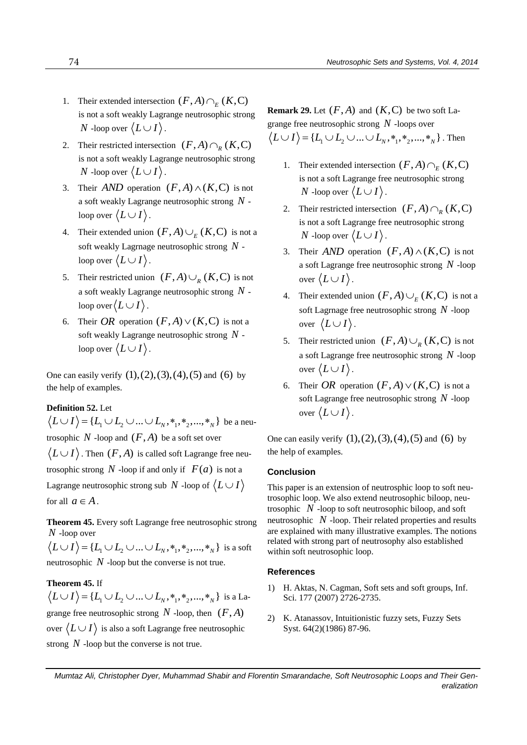- 1. Their extended intersection  $(F, A) \cap_E (K, C)$ is not a soft weakly Lagrange neutrosophic strong  $N$  -loop over  $\langle L \cup I \rangle$  .
- 2. Their restricted intersection  $(F, A) \cap_R (K, C)$ is not a soft weakly Lagrange neutrosophic strong  $N$  -loop over  $\langle L \cup I \rangle$  .
- 3. Their *AND* operation  $(F, A) \wedge (K, C)$  is not a soft weakly Lagrange neutrosophic strong *N* loop over  $\langle L \cup I \rangle$  .
- 4. Their extended union  $(F, A) \cup_E (K, C)$  is not a soft weakly Lagrnage neutrosophic strong *N* loop over  $\langle L \cup I \rangle$  .
- 5. Their restricted union  $(F, A) \cup_R (K, C)$  is not a soft weakly Lagrange neutrosophic strong *N* loop over  $\langle L \cup I \rangle$  .
- 6. Their OR operation  $(F, A) \vee (K, C)$  is not a soft weakly Lagrange neutrosophic strong *N* loop over  $\langle L \cup I \rangle$  .

One can easily verify  $(1), (2), (3), (4), (5)$  and  $(6)$  by the help of examples.

# **Definition 52.** Let

**efinition 52.** Let  $L \cup I$   $\rangle = \{L_1 \cup L_2 \cup ... \cup L_N, *, *, *,_2, ..., *,_N\}$  be a neutrosophic  $N$  -loop and  $(F, A)$  be a soft set over  $L\cup I\rangle$  . Then  $(F,A)$  is called soft Lagrange free neutrosophic strong  $N$  -loop if and only if  $F(a)$  is not a Lagrange neutrosophic strong sub  $\,N$  -loop of  $\,\langle L \cup I \rangle$ for all  $a \in A$ .

**Theorem 45.** Every soft Lagrange free neutrosophic strong *N* -loop over V -loop over<br>  $L \cup I$   $\rangle = \{L_1 \cup L_2 \cup ... \cup L_N, *, *, *,_2, ..., *,_N\}$  is a soft

neutrosophic  $N$  -loop but the converse is not true.

# **Theorem 45.** If

**heorem 45.** If  $L \cup I$   $\rangle = \{L_1 \cup L_2 \cup ... \cup L_N, *_{1}, *_{2}, ..., *_{N}\}\)$  is a Lagrange free neutrosophic strong  $N$  -loop, then  $(F, A)$ over  $\langle L \cup I \rangle$  is also a soft Lagrange free neutrosophic strong  $N$  -loop but the converse is not true.

**Remark 29.** Let  $(F, A)$  and  $(K, C)$  be two soft Lagrange free neutrosophic strong *N* -loops over range free neutrosophic strong N -loops over<br> $L \cup I$   $\rangle = \{L_1 \cup L_2 \cup ... \cup L_N, *, *, *,_2, ..., *,_N\}$ . Then

- 1. Their extended intersection  $(F, A) \cap_E (K, C)$ is not a soft Lagrange free neutrosophic strong  $N$  -loop over  $\langle L \cup I \rangle$  .
- 2. Their restricted intersection  $(F, A) \cap_R (K, C)$ is not a soft Lagrange free neutrosophic strong  $N$  -loop over  $\langle L \cup I \rangle$  .
- 3. Their *AND* operation  $(F, A) \wedge (K, C)$  is not a soft Lagrange free neutrosophic strong *N* -loop over  $\langle L \cup I \rangle$ .
- 4. Their extended union  $(F, A) \cup_E (K, C)$  is not a soft Lagrnage free neutrosophic strong *N* -loop over  $\langle L \cup I \rangle$ .
- 5. Their restricted union  $(F, A) \cup_R (K, C)$  is not a soft Lagrange free neutrosophic strong *N* -loop over  $\langle L \cup I \rangle$ .
- 6. Their OR operation  $(F, A) \vee (K, C)$  is not a soft Lagrange free neutrosophic strong *N* -loop over  $\langle L \cup I \rangle$ .

One can easily verify  $(1), (2), (3), (4), (5)$  and  $(6)$  by the help of examples.

# **Conclusion**

This paper is an extension of neutrosphic loop to soft neutrosophic loop. We also extend neutrosophic biloop, neutrosophic  $N$ -loop to soft neutrosophic biloop, and soft neutrosophic  $N$  -loop. Their related properties and results are explained with many illustrative examples. The notions related with strong part of neutrosophy also established within soft neutrosophic loop.

### **References**

- 1) H. Aktas, N. Cagman, Soft sets and soft groups, Inf. Sci. 177 (2007) 2726-2735.
- 2) K. Atanassov, Intuitionistic fuzzy sets, Fuzzy Sets Syst. 64(2)(1986) 87-96.